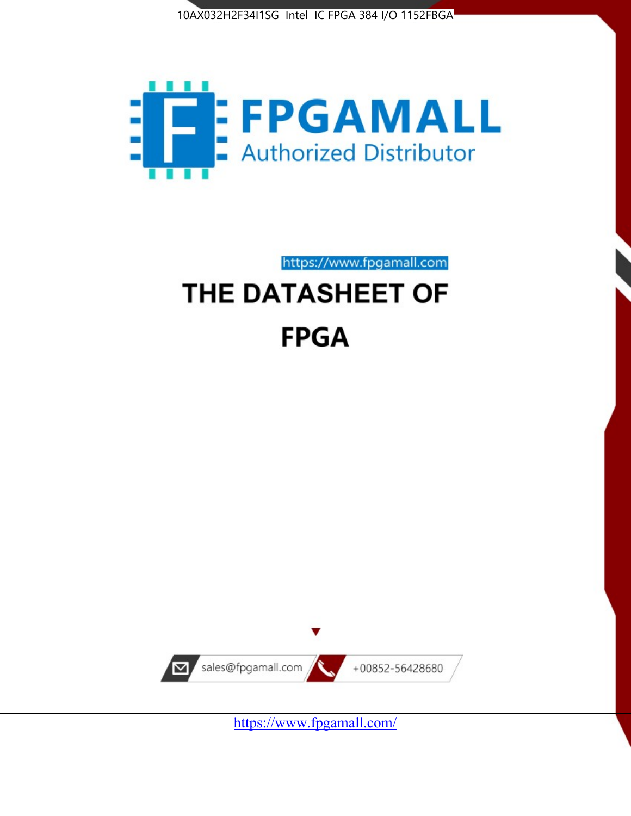



https://www.fpgamall.com THE DATASHEET OF

# **FPGA**



<https://www.fpgamall.com/>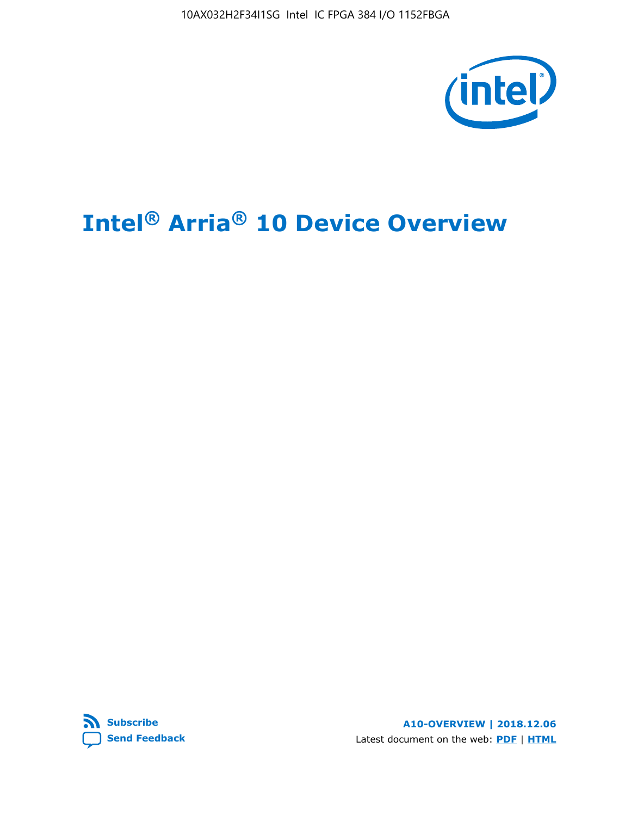

# **Intel® Arria® 10 Device Overview**



**A10-OVERVIEW | 2018.12.06** Latest document on the web: **[PDF](https://www.intel.com/content/dam/www/programmable/us/en/pdfs/literature/hb/arria-10/a10_overview.pdf)** | **[HTML](https://www.intel.com/content/www/us/en/programmable/documentation/sam1403480274650.html)**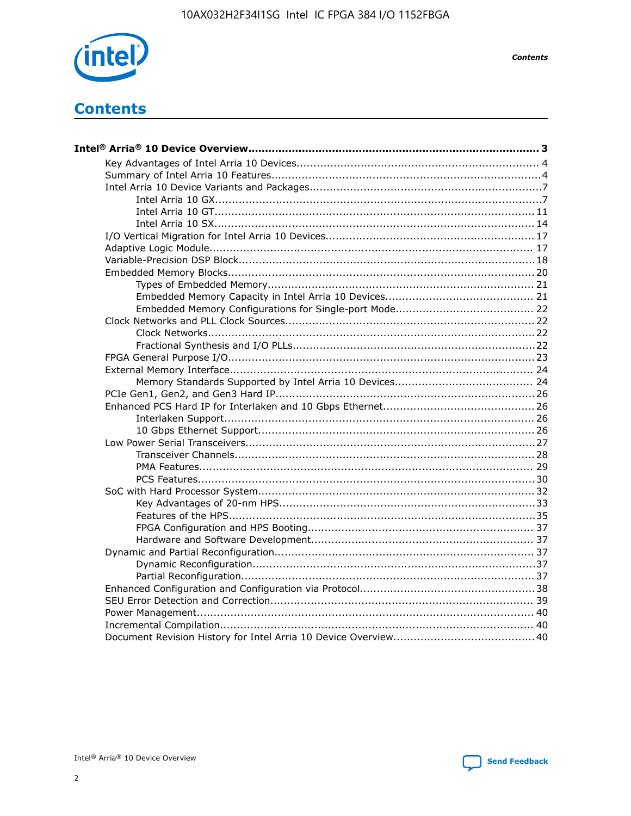

**Contents** 

# **Contents**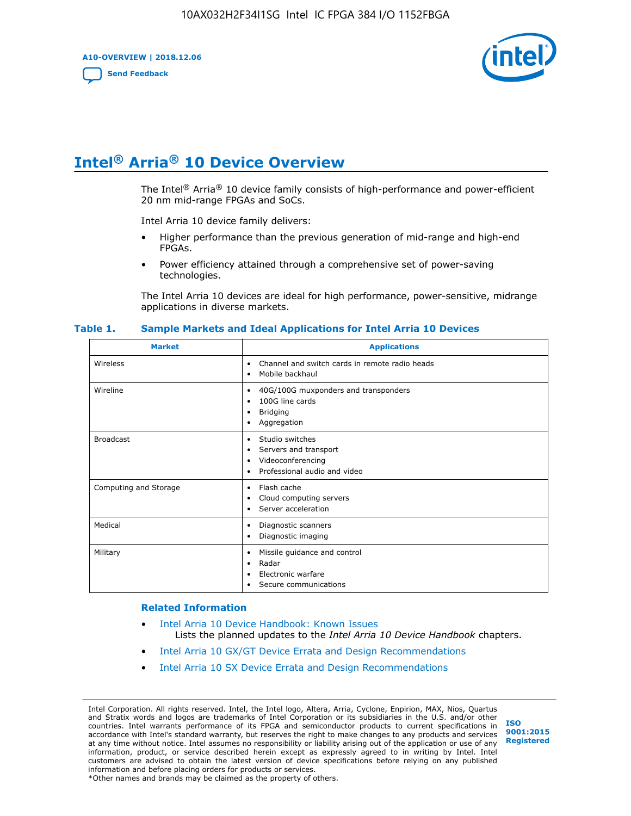**A10-OVERVIEW | 2018.12.06**

**[Send Feedback](mailto:FPGAtechdocfeedback@intel.com?subject=Feedback%20on%20Intel%20Arria%2010%20Device%20Overview%20(A10-OVERVIEW%202018.12.06)&body=We%20appreciate%20your%20feedback.%20In%20your%20comments,%20also%20specify%20the%20page%20number%20or%20paragraph.%20Thank%20you.)**



# **Intel® Arria® 10 Device Overview**

The Intel<sup>®</sup> Arria<sup>®</sup> 10 device family consists of high-performance and power-efficient 20 nm mid-range FPGAs and SoCs.

Intel Arria 10 device family delivers:

- Higher performance than the previous generation of mid-range and high-end FPGAs.
- Power efficiency attained through a comprehensive set of power-saving technologies.

The Intel Arria 10 devices are ideal for high performance, power-sensitive, midrange applications in diverse markets.

| <b>Market</b>         | <b>Applications</b>                                                                                               |
|-----------------------|-------------------------------------------------------------------------------------------------------------------|
| Wireless              | Channel and switch cards in remote radio heads<br>٠<br>Mobile backhaul<br>٠                                       |
| Wireline              | 40G/100G muxponders and transponders<br>٠<br>100G line cards<br>٠<br><b>Bridging</b><br>٠<br>Aggregation<br>٠     |
| <b>Broadcast</b>      | Studio switches<br>٠<br>Servers and transport<br>٠<br>Videoconferencing<br>٠<br>Professional audio and video<br>٠ |
| Computing and Storage | Flash cache<br>٠<br>Cloud computing servers<br>٠<br>Server acceleration<br>٠                                      |
| Medical               | Diagnostic scanners<br>٠<br>Diagnostic imaging<br>٠                                                               |
| Military              | Missile guidance and control<br>٠<br>Radar<br>٠<br>Electronic warfare<br>٠<br>Secure communications<br>٠          |

#### **Table 1. Sample Markets and Ideal Applications for Intel Arria 10 Devices**

#### **Related Information**

- [Intel Arria 10 Device Handbook: Known Issues](http://www.altera.com/support/kdb/solutions/rd07302013_646.html) Lists the planned updates to the *Intel Arria 10 Device Handbook* chapters.
- [Intel Arria 10 GX/GT Device Errata and Design Recommendations](https://www.intel.com/content/www/us/en/programmable/documentation/agz1493851706374.html#yqz1494433888646)
- [Intel Arria 10 SX Device Errata and Design Recommendations](https://www.intel.com/content/www/us/en/programmable/documentation/cru1462832385668.html#cru1462832558642)

Intel Corporation. All rights reserved. Intel, the Intel logo, Altera, Arria, Cyclone, Enpirion, MAX, Nios, Quartus and Stratix words and logos are trademarks of Intel Corporation or its subsidiaries in the U.S. and/or other countries. Intel warrants performance of its FPGA and semiconductor products to current specifications in accordance with Intel's standard warranty, but reserves the right to make changes to any products and services at any time without notice. Intel assumes no responsibility or liability arising out of the application or use of any information, product, or service described herein except as expressly agreed to in writing by Intel. Intel customers are advised to obtain the latest version of device specifications before relying on any published information and before placing orders for products or services. \*Other names and brands may be claimed as the property of others.

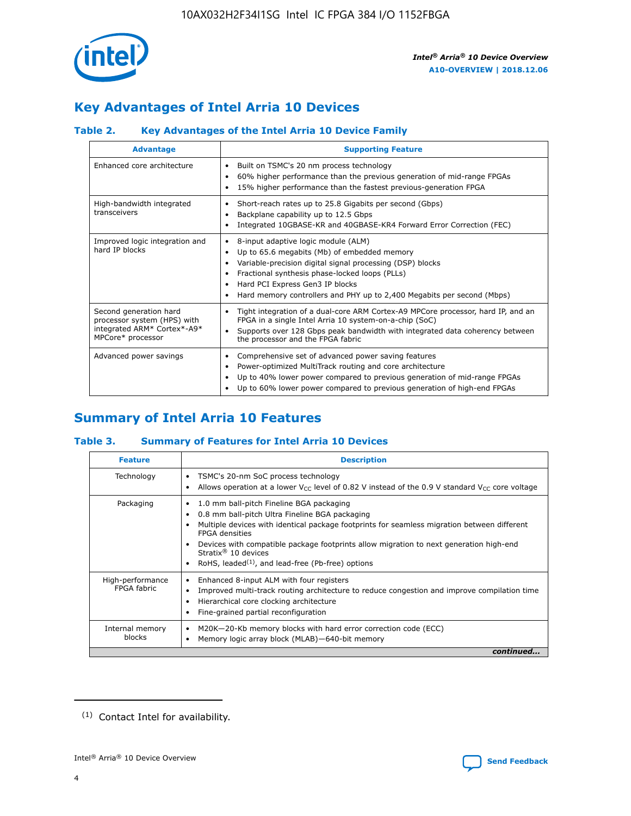

# **Key Advantages of Intel Arria 10 Devices**

## **Table 2. Key Advantages of the Intel Arria 10 Device Family**

| <b>Advantage</b>                                                                                          | <b>Supporting Feature</b>                                                                                                                                                                                                                                                                                                |
|-----------------------------------------------------------------------------------------------------------|--------------------------------------------------------------------------------------------------------------------------------------------------------------------------------------------------------------------------------------------------------------------------------------------------------------------------|
| Enhanced core architecture                                                                                | Built on TSMC's 20 nm process technology<br>٠<br>60% higher performance than the previous generation of mid-range FPGAs<br>٠<br>15% higher performance than the fastest previous-generation FPGA<br>٠                                                                                                                    |
| High-bandwidth integrated<br>transceivers                                                                 | Short-reach rates up to 25.8 Gigabits per second (Gbps)<br>٠<br>Backplane capability up to 12.5 Gbps<br>٠<br>Integrated 10GBASE-KR and 40GBASE-KR4 Forward Error Correction (FEC)<br>٠                                                                                                                                   |
| Improved logic integration and<br>hard IP blocks                                                          | 8-input adaptive logic module (ALM)<br>٠<br>Up to 65.6 megabits (Mb) of embedded memory<br>٠<br>Variable-precision digital signal processing (DSP) blocks<br>Fractional synthesis phase-locked loops (PLLs)<br>Hard PCI Express Gen3 IP blocks<br>Hard memory controllers and PHY up to 2,400 Megabits per second (Mbps) |
| Second generation hard<br>processor system (HPS) with<br>integrated ARM* Cortex*-A9*<br>MPCore* processor | Tight integration of a dual-core ARM Cortex-A9 MPCore processor, hard IP, and an<br>٠<br>FPGA in a single Intel Arria 10 system-on-a-chip (SoC)<br>Supports over 128 Gbps peak bandwidth with integrated data coherency between<br>$\bullet$<br>the processor and the FPGA fabric                                        |
| Advanced power savings                                                                                    | Comprehensive set of advanced power saving features<br>٠<br>Power-optimized MultiTrack routing and core architecture<br>٠<br>Up to 40% lower power compared to previous generation of mid-range FPGAs<br>٠<br>Up to 60% lower power compared to previous generation of high-end FPGAs<br>٠                               |

# **Summary of Intel Arria 10 Features**

## **Table 3. Summary of Features for Intel Arria 10 Devices**

| <b>Feature</b>                  | <b>Description</b>                                                                                                                                                                                                                                                                                                                                                                                 |
|---------------------------------|----------------------------------------------------------------------------------------------------------------------------------------------------------------------------------------------------------------------------------------------------------------------------------------------------------------------------------------------------------------------------------------------------|
| Technology                      | TSMC's 20-nm SoC process technology<br>Allows operation at a lower $V_{\text{CC}}$ level of 0.82 V instead of the 0.9 V standard $V_{\text{CC}}$ core voltage                                                                                                                                                                                                                                      |
| Packaging                       | 1.0 mm ball-pitch Fineline BGA packaging<br>٠<br>0.8 mm ball-pitch Ultra Fineline BGA packaging<br>Multiple devices with identical package footprints for seamless migration between different<br><b>FPGA</b> densities<br>Devices with compatible package footprints allow migration to next generation high-end<br>Stratix $@10$ devices<br>RoHS, leaded $(1)$ , and lead-free (Pb-free) options |
| High-performance<br>FPGA fabric | Enhanced 8-input ALM with four registers<br>Improved multi-track routing architecture to reduce congestion and improve compilation time<br>Hierarchical core clocking architecture<br>Fine-grained partial reconfiguration                                                                                                                                                                         |
| Internal memory<br>blocks       | M20K-20-Kb memory blocks with hard error correction code (ECC)<br>Memory logic array block (MLAB)-640-bit memory                                                                                                                                                                                                                                                                                   |
|                                 | continued                                                                                                                                                                                                                                                                                                                                                                                          |



<sup>(1)</sup> Contact Intel for availability.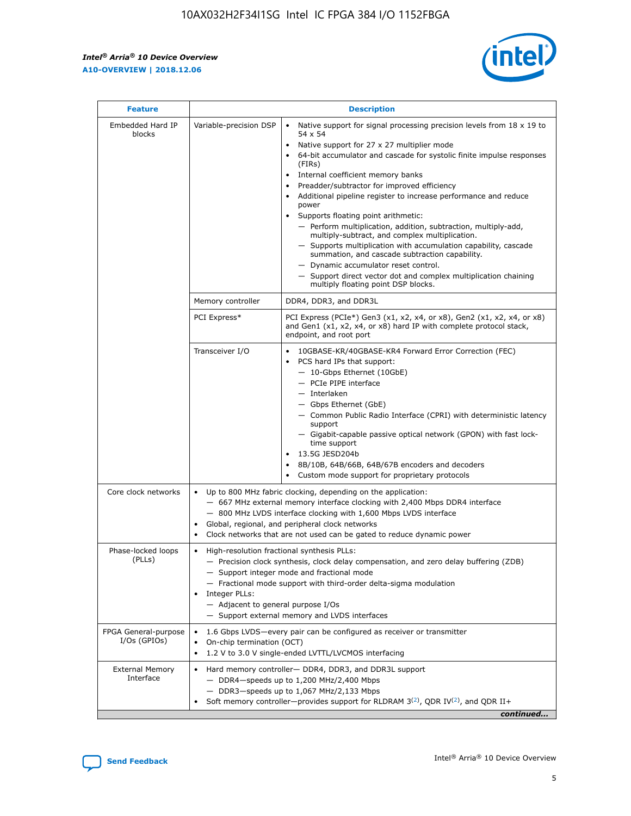r



| <b>Feature</b>                         | <b>Description</b>                                                                                             |                                                                                                                                                                                                                                                                                                                                                                                                                                                                                                                                                                                                                                                                                                                                                                                                                                        |  |  |  |  |  |
|----------------------------------------|----------------------------------------------------------------------------------------------------------------|----------------------------------------------------------------------------------------------------------------------------------------------------------------------------------------------------------------------------------------------------------------------------------------------------------------------------------------------------------------------------------------------------------------------------------------------------------------------------------------------------------------------------------------------------------------------------------------------------------------------------------------------------------------------------------------------------------------------------------------------------------------------------------------------------------------------------------------|--|--|--|--|--|
| Embedded Hard IP<br>blocks             | Variable-precision DSP                                                                                         | Native support for signal processing precision levels from $18 \times 19$ to<br>54 x 54<br>Native support for 27 x 27 multiplier mode<br>64-bit accumulator and cascade for systolic finite impulse responses<br>(FIRs)<br>Internal coefficient memory banks<br>$\bullet$<br>Preadder/subtractor for improved efficiency<br>Additional pipeline register to increase performance and reduce<br>power<br>Supports floating point arithmetic:<br>- Perform multiplication, addition, subtraction, multiply-add,<br>multiply-subtract, and complex multiplication.<br>- Supports multiplication with accumulation capability, cascade<br>summation, and cascade subtraction capability.<br>- Dynamic accumulator reset control.<br>- Support direct vector dot and complex multiplication chaining<br>multiply floating point DSP blocks. |  |  |  |  |  |
|                                        | Memory controller                                                                                              | DDR4, DDR3, and DDR3L                                                                                                                                                                                                                                                                                                                                                                                                                                                                                                                                                                                                                                                                                                                                                                                                                  |  |  |  |  |  |
|                                        | PCI Express*                                                                                                   | PCI Express (PCIe*) Gen3 (x1, x2, x4, or x8), Gen2 (x1, x2, x4, or x8)<br>and Gen1 (x1, x2, x4, or x8) hard IP with complete protocol stack,<br>endpoint, and root port                                                                                                                                                                                                                                                                                                                                                                                                                                                                                                                                                                                                                                                                |  |  |  |  |  |
|                                        | Transceiver I/O                                                                                                | 10GBASE-KR/40GBASE-KR4 Forward Error Correction (FEC)<br>PCS hard IPs that support:<br>$\bullet$<br>- 10-Gbps Ethernet (10GbE)<br>- PCIe PIPE interface<br>$-$ Interlaken<br>- Gbps Ethernet (GbE)<br>- Common Public Radio Interface (CPRI) with deterministic latency<br>support<br>- Gigabit-capable passive optical network (GPON) with fast lock-<br>time support<br>13.5G JESD204b<br>$\bullet$<br>8B/10B, 64B/66B, 64B/67B encoders and decoders<br>Custom mode support for proprietary protocols                                                                                                                                                                                                                                                                                                                               |  |  |  |  |  |
| Core clock networks                    | $\bullet$<br>$\bullet$                                                                                         | Up to 800 MHz fabric clocking, depending on the application:<br>- 667 MHz external memory interface clocking with 2,400 Mbps DDR4 interface<br>- 800 MHz LVDS interface clocking with 1,600 Mbps LVDS interface<br>Global, regional, and peripheral clock networks<br>Clock networks that are not used can be gated to reduce dynamic power                                                                                                                                                                                                                                                                                                                                                                                                                                                                                            |  |  |  |  |  |
| Phase-locked loops<br>(PLLs)           | High-resolution fractional synthesis PLLs:<br>$\bullet$<br>Integer PLLs:<br>- Adjacent to general purpose I/Os | - Precision clock synthesis, clock delay compensation, and zero delay buffering (ZDB)<br>- Support integer mode and fractional mode<br>- Fractional mode support with third-order delta-sigma modulation<br>- Support external memory and LVDS interfaces                                                                                                                                                                                                                                                                                                                                                                                                                                                                                                                                                                              |  |  |  |  |  |
| FPGA General-purpose<br>$I/Os$ (GPIOs) | On-chip termination (OCT)                                                                                      | 1.6 Gbps LVDS-every pair can be configured as receiver or transmitter<br>1.2 V to 3.0 V single-ended LVTTL/LVCMOS interfacing                                                                                                                                                                                                                                                                                                                                                                                                                                                                                                                                                                                                                                                                                                          |  |  |  |  |  |
| <b>External Memory</b><br>Interface    |                                                                                                                | Hard memory controller- DDR4, DDR3, and DDR3L support<br>$-$ DDR4-speeds up to 1,200 MHz/2,400 Mbps<br>- DDR3-speeds up to 1,067 MHz/2,133 Mbps<br>Soft memory controller—provides support for RLDRAM $3^{(2)}$ , QDR IV $^{(2)}$ , and QDR II+<br>continued                                                                                                                                                                                                                                                                                                                                                                                                                                                                                                                                                                           |  |  |  |  |  |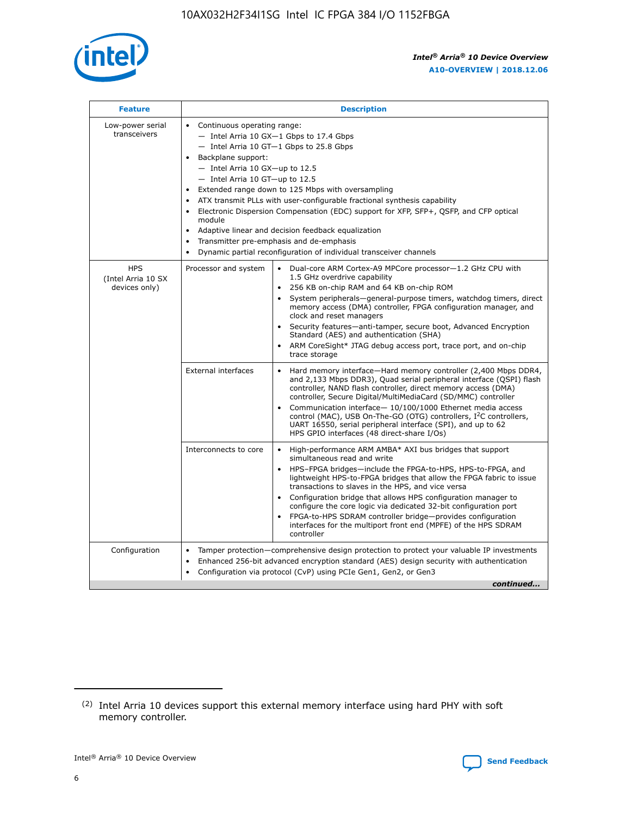

| <b>Feature</b>                                    | <b>Description</b>                                                                                                                                                                                                                                                                                                                                                                                                                                                                                                                                                                                                                                                 |
|---------------------------------------------------|--------------------------------------------------------------------------------------------------------------------------------------------------------------------------------------------------------------------------------------------------------------------------------------------------------------------------------------------------------------------------------------------------------------------------------------------------------------------------------------------------------------------------------------------------------------------------------------------------------------------------------------------------------------------|
| Low-power serial<br>transceivers                  | • Continuous operating range:<br>- Intel Arria 10 GX-1 Gbps to 17.4 Gbps<br>- Intel Arria 10 GT-1 Gbps to 25.8 Gbps<br>Backplane support:<br>$-$ Intel Arria 10 GX-up to 12.5<br>- Intel Arria 10 GT-up to 12.5<br>Extended range down to 125 Mbps with oversampling<br>ATX transmit PLLs with user-configurable fractional synthesis capability<br>$\bullet$<br>Electronic Dispersion Compensation (EDC) support for XFP, SFP+, OSFP, and CFP optical<br>module<br>Adaptive linear and decision feedback equalization<br>$\bullet$<br>Transmitter pre-emphasis and de-emphasis<br>$\bullet$<br>Dynamic partial reconfiguration of individual transceiver channels |
| <b>HPS</b><br>(Intel Arria 10 SX<br>devices only) | • Dual-core ARM Cortex-A9 MPCore processor-1.2 GHz CPU with<br>Processor and system<br>1.5 GHz overdrive capability<br>256 KB on-chip RAM and 64 KB on-chip ROM<br>$\bullet$<br>System peripherals—general-purpose timers, watchdog timers, direct<br>memory access (DMA) controller, FPGA configuration manager, and<br>clock and reset managers<br>Security features—anti-tamper, secure boot, Advanced Encryption<br>$\bullet$<br>Standard (AES) and authentication (SHA)<br>ARM CoreSight* JTAG debug access port, trace port, and on-chip<br>$\bullet$<br>trace storage                                                                                       |
|                                                   | <b>External interfaces</b><br>Hard memory interface-Hard memory controller (2,400 Mbps DDR4,<br>$\bullet$<br>and 2,133 Mbps DDR3), Quad serial peripheral interface (OSPI) flash<br>controller, NAND flash controller, direct memory access (DMA)<br>controller, Secure Digital/MultiMediaCard (SD/MMC) controller<br>Communication interface-10/100/1000 Ethernet media access<br>$\bullet$<br>control (MAC), USB On-The-GO (OTG) controllers, I <sup>2</sup> C controllers,<br>UART 16550, serial peripheral interface (SPI), and up to 62<br>HPS GPIO interfaces (48 direct-share I/Os)                                                                         |
|                                                   | Interconnects to core<br>High-performance ARM AMBA* AXI bus bridges that support<br>$\bullet$<br>simultaneous read and write<br>HPS-FPGA bridges-include the FPGA-to-HPS, HPS-to-FPGA, and<br>$\bullet$<br>lightweight HPS-to-FPGA bridges that allow the FPGA fabric to issue<br>transactions to slaves in the HPS, and vice versa<br>Configuration bridge that allows HPS configuration manager to<br>configure the core logic via dedicated 32-bit configuration port<br>FPGA-to-HPS SDRAM controller bridge-provides configuration<br>interfaces for the multiport front end (MPFE) of the HPS SDRAM<br>controller                                             |
| Configuration                                     | Tamper protection—comprehensive design protection to protect your valuable IP investments<br>Enhanced 256-bit advanced encryption standard (AES) design security with authentication<br>٠<br>Configuration via protocol (CvP) using PCIe Gen1, Gen2, or Gen3<br>continued                                                                                                                                                                                                                                                                                                                                                                                          |

<sup>(2)</sup> Intel Arria 10 devices support this external memory interface using hard PHY with soft memory controller.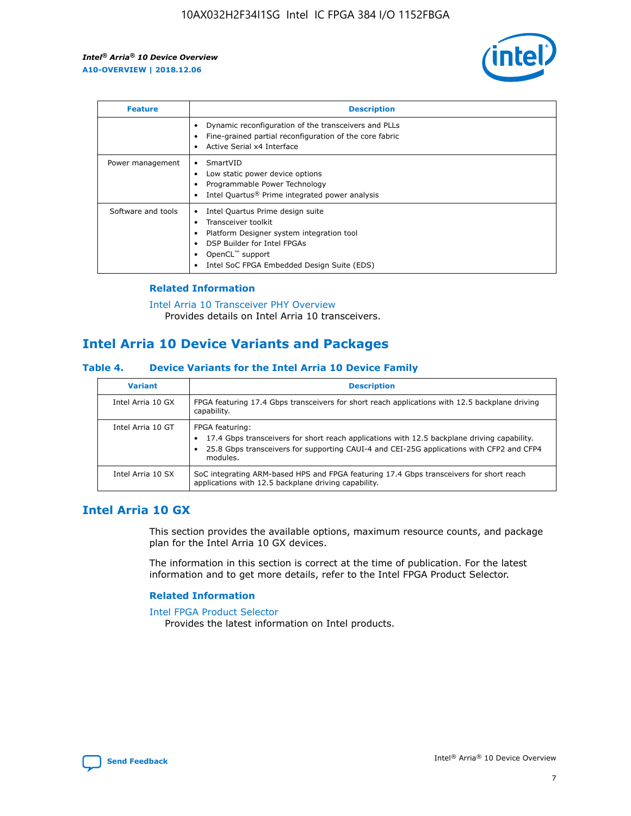

| <b>Feature</b>     | <b>Description</b>                                                                                                                                                                                                    |
|--------------------|-----------------------------------------------------------------------------------------------------------------------------------------------------------------------------------------------------------------------|
|                    | Dynamic reconfiguration of the transceivers and PLLs<br>Fine-grained partial reconfiguration of the core fabric<br>Active Serial x4 Interface                                                                         |
| Power management   | SmartVID<br>Low static power device options<br>Programmable Power Technology<br>Intel Quartus <sup>®</sup> Prime integrated power analysis                                                                            |
| Software and tools | Intel Quartus Prime design suite<br>Transceiver toolkit<br>٠<br>Platform Designer system integration tool<br>DSP Builder for Intel FPGAs<br>OpenCL <sup>™</sup> support<br>Intel SoC FPGA Embedded Design Suite (EDS) |

## **Related Information**

[Intel Arria 10 Transceiver PHY Overview](https://www.intel.com/content/www/us/en/programmable/documentation/nik1398707230472.html#nik1398706768037) Provides details on Intel Arria 10 transceivers.

## **Intel Arria 10 Device Variants and Packages**

#### **Table 4. Device Variants for the Intel Arria 10 Device Family**

| <b>Variant</b>    | <b>Description</b>                                                                                                                                                                                                     |
|-------------------|------------------------------------------------------------------------------------------------------------------------------------------------------------------------------------------------------------------------|
| Intel Arria 10 GX | FPGA featuring 17.4 Gbps transceivers for short reach applications with 12.5 backplane driving<br>capability.                                                                                                          |
| Intel Arria 10 GT | FPGA featuring:<br>17.4 Gbps transceivers for short reach applications with 12.5 backplane driving capability.<br>25.8 Gbps transceivers for supporting CAUI-4 and CEI-25G applications with CFP2 and CFP4<br>modules. |
| Intel Arria 10 SX | SoC integrating ARM-based HPS and FPGA featuring 17.4 Gbps transceivers for short reach<br>applications with 12.5 backplane driving capability.                                                                        |

## **Intel Arria 10 GX**

This section provides the available options, maximum resource counts, and package plan for the Intel Arria 10 GX devices.

The information in this section is correct at the time of publication. For the latest information and to get more details, refer to the Intel FPGA Product Selector.

### **Related Information**

#### [Intel FPGA Product Selector](http://www.altera.com/products/selector/psg-selector.html) Provides the latest information on Intel products.

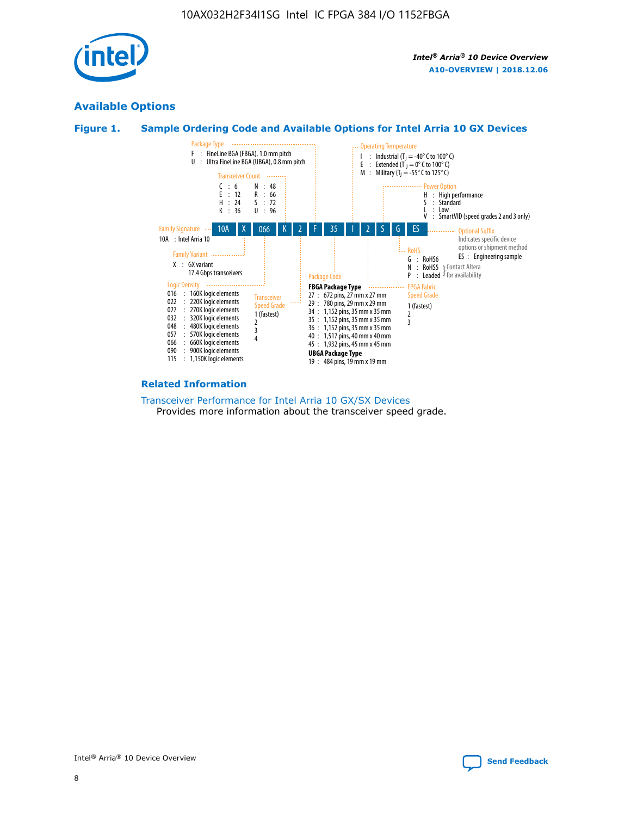

## **Available Options**





#### **Related Information**

[Transceiver Performance for Intel Arria 10 GX/SX Devices](https://www.intel.com/content/www/us/en/programmable/documentation/mcn1413182292568.html#mcn1413213965502) Provides more information about the transceiver speed grade.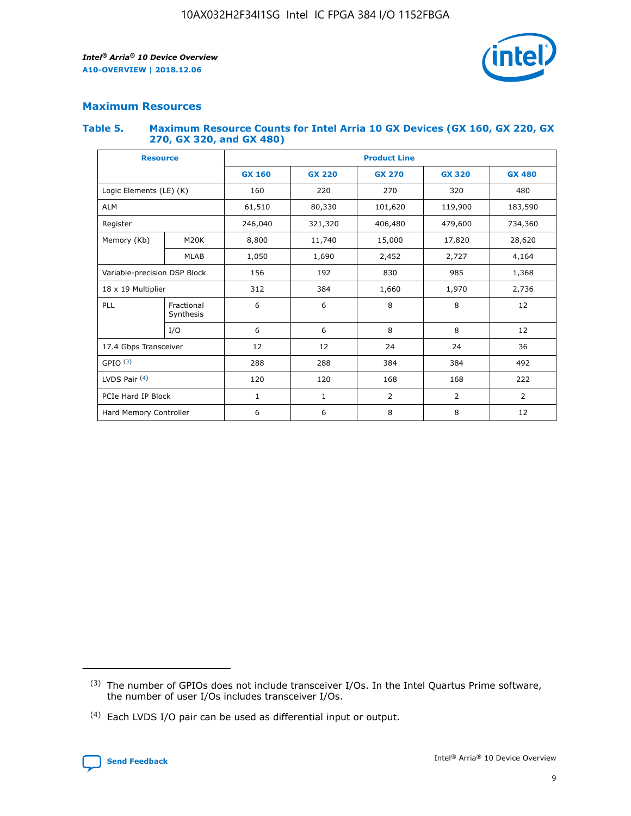

## **Maximum Resources**

### **Table 5. Maximum Resource Counts for Intel Arria 10 GX Devices (GX 160, GX 220, GX 270, GX 320, and GX 480)**

| <b>Resource</b>         |                                                          | <b>Product Line</b> |                                                 |                |                |                |  |  |  |
|-------------------------|----------------------------------------------------------|---------------------|-------------------------------------------------|----------------|----------------|----------------|--|--|--|
|                         |                                                          | <b>GX 160</b>       | <b>GX 220</b><br><b>GX 270</b><br><b>GX 320</b> |                |                | <b>GX 480</b>  |  |  |  |
| Logic Elements (LE) (K) |                                                          | 160                 | 220                                             | 270            | 320            | 480            |  |  |  |
| <b>ALM</b>              |                                                          | 61,510              | 80,330                                          | 101,620        | 119,900        | 183,590        |  |  |  |
| Register                |                                                          | 246,040             | 321,320                                         | 406,480        | 479,600        | 734,360        |  |  |  |
| Memory (Kb)             | M <sub>20</sub> K                                        | 8,800               | 11,740                                          | 15,000         | 17,820         |                |  |  |  |
|                         | <b>MLAB</b>                                              | 1,050               | 1,690                                           | 2,452          | 2,727          | 4,164          |  |  |  |
|                         | 985<br>Variable-precision DSP Block<br>156<br>192<br>830 |                     |                                                 |                | 1,368          |                |  |  |  |
| 18 x 19 Multiplier      |                                                          | 312                 | 384                                             | 1,660          | 1,970          | 2,736          |  |  |  |
| PLL                     | Fractional<br>Synthesis                                  | 6                   | 6                                               | 8              | 8              | 12             |  |  |  |
|                         | I/O                                                      | 6                   | 6                                               | 8              | 8              | 12             |  |  |  |
| 17.4 Gbps Transceiver   |                                                          | 12                  | 12                                              | 24             | 24             |                |  |  |  |
| GPIO <sup>(3)</sup>     |                                                          | 288                 | 288                                             | 384<br>384     |                | 492            |  |  |  |
| LVDS Pair $(4)$         |                                                          | 120                 | 120                                             | 168            | 168            | 222            |  |  |  |
| PCIe Hard IP Block      |                                                          | $\mathbf{1}$        | 1                                               | $\overline{2}$ | $\overline{2}$ | $\overline{2}$ |  |  |  |
| Hard Memory Controller  |                                                          | 6                   | 6                                               | 8              | 8              | 12             |  |  |  |

<sup>(4)</sup> Each LVDS I/O pair can be used as differential input or output.



<sup>(3)</sup> The number of GPIOs does not include transceiver I/Os. In the Intel Quartus Prime software, the number of user I/Os includes transceiver I/Os.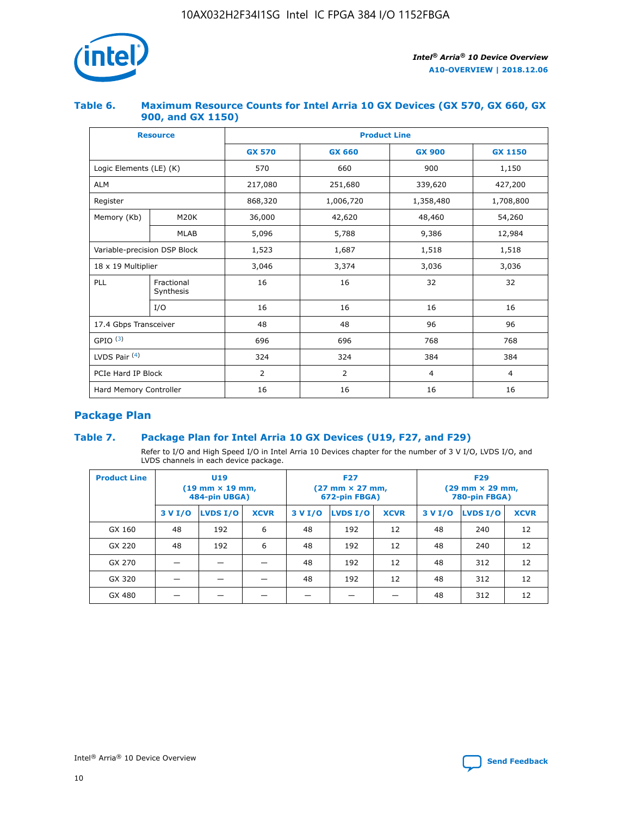

## **Table 6. Maximum Resource Counts for Intel Arria 10 GX Devices (GX 570, GX 660, GX 900, and GX 1150)**

|                              | <b>Resource</b>         | <b>Product Line</b> |                |                |                |  |  |  |
|------------------------------|-------------------------|---------------------|----------------|----------------|----------------|--|--|--|
|                              |                         | <b>GX 570</b>       | <b>GX 660</b>  | <b>GX 900</b>  | <b>GX 1150</b> |  |  |  |
| Logic Elements (LE) (K)      |                         | 570                 | 660            | 900            | 1,150          |  |  |  |
| <b>ALM</b>                   |                         | 217,080             | 251,680        | 339,620        | 427,200        |  |  |  |
| Register                     |                         | 868,320             | 1,006,720      | 1,358,480      | 1,708,800      |  |  |  |
| Memory (Kb)                  | <b>M20K</b>             | 36,000              | 42,620         | 48,460         | 54,260         |  |  |  |
|                              | <b>MLAB</b>             | 5,096               | 5,788          | 9,386          | 12,984         |  |  |  |
| Variable-precision DSP Block |                         | 1,523               | 1,687          | 1,518          | 1,518          |  |  |  |
| $18 \times 19$ Multiplier    |                         | 3,046               | 3,374          | 3,036          | 3,036          |  |  |  |
| PLL                          | Fractional<br>Synthesis | 16                  | 16             | 32             | 32             |  |  |  |
|                              | I/O                     | 16                  | 16             | 16             | 16             |  |  |  |
| 17.4 Gbps Transceiver        |                         | 48                  | 48             |                | 96             |  |  |  |
| GPIO <sup>(3)</sup>          |                         | 696                 | 696            | 768            | 768            |  |  |  |
| LVDS Pair $(4)$              |                         | 324                 | 324            | 384            | 384            |  |  |  |
| PCIe Hard IP Block           |                         | 2                   | $\overline{2}$ | $\overline{4}$ | 4              |  |  |  |
| Hard Memory Controller       |                         | 16                  | 16             | 16             | 16             |  |  |  |

## **Package Plan**

## **Table 7. Package Plan for Intel Arria 10 GX Devices (U19, F27, and F29)**

Refer to I/O and High Speed I/O in Intel Arria 10 Devices chapter for the number of 3 V I/O, LVDS I/O, and LVDS channels in each device package.

| <b>Product Line</b> | U <sub>19</sub><br>$(19 \text{ mm} \times 19 \text{ mm})$<br>484-pin UBGA) |          |             |         | <b>F27</b><br>(27 mm × 27 mm,<br>672-pin FBGA) |             | <b>F29</b><br>(29 mm × 29 mm,<br>780-pin FBGA) |          |             |  |
|---------------------|----------------------------------------------------------------------------|----------|-------------|---------|------------------------------------------------|-------------|------------------------------------------------|----------|-------------|--|
|                     | 3 V I/O                                                                    | LVDS I/O | <b>XCVR</b> | 3 V I/O | LVDS I/O                                       | <b>XCVR</b> | 3 V I/O                                        | LVDS I/O | <b>XCVR</b> |  |
| GX 160              | 48                                                                         | 192      | 6           | 48      | 192                                            | 12          | 48                                             | 240      | 12          |  |
| GX 220              | 48                                                                         | 192      | 6           | 48      | 192                                            | 12          | 48                                             | 240      | 12          |  |
| GX 270              |                                                                            |          |             | 48      | 192                                            | 12          | 48                                             | 312      | 12          |  |
| GX 320              |                                                                            |          |             | 48      | 192                                            | 12          | 48                                             | 312      | 12          |  |
| GX 480              |                                                                            |          |             |         |                                                |             | 48                                             | 312      | 12          |  |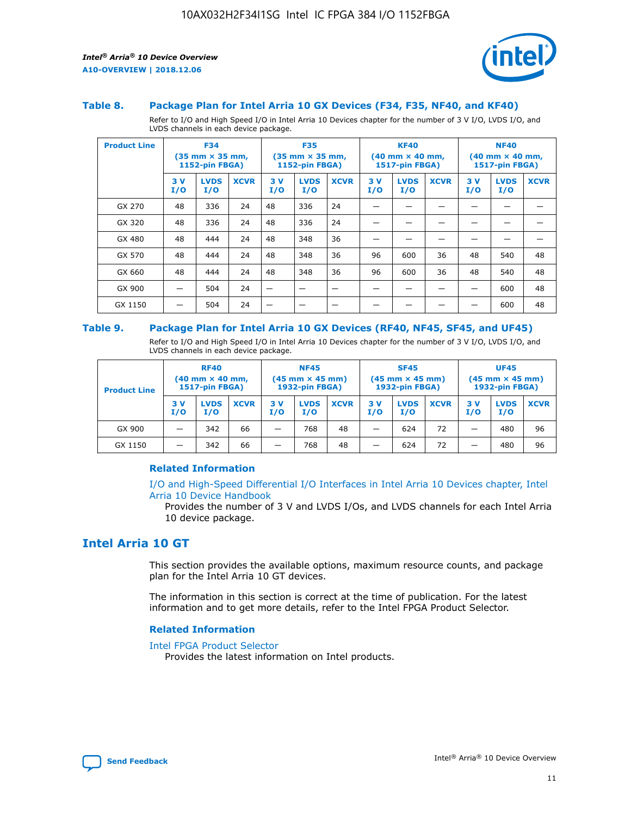

#### **Table 8. Package Plan for Intel Arria 10 GX Devices (F34, F35, NF40, and KF40)**

Refer to I/O and High Speed I/O in Intel Arria 10 Devices chapter for the number of 3 V I/O, LVDS I/O, and LVDS channels in each device package.

| <b>Product Line</b> | <b>F34</b><br>$(35 \text{ mm} \times 35 \text{ mm})$<br>1152-pin FBGA) |                    | <b>F35</b><br>$(35 \text{ mm} \times 35 \text{ mm})$<br><b>1152-pin FBGA)</b> |           | <b>KF40</b><br>$(40$ mm $\times$ 40 mm,<br>1517-pin FBGA) |             |           | <b>NF40</b><br>$(40 \text{ mm} \times 40 \text{ mm})$<br><b>1517-pin FBGA)</b> |             |            |                    |             |
|---------------------|------------------------------------------------------------------------|--------------------|-------------------------------------------------------------------------------|-----------|-----------------------------------------------------------|-------------|-----------|--------------------------------------------------------------------------------|-------------|------------|--------------------|-------------|
|                     | 3V<br>I/O                                                              | <b>LVDS</b><br>I/O | <b>XCVR</b>                                                                   | 3V<br>I/O | <b>LVDS</b><br>I/O                                        | <b>XCVR</b> | 3V<br>I/O | <b>LVDS</b><br>I/O                                                             | <b>XCVR</b> | 3 V<br>I/O | <b>LVDS</b><br>I/O | <b>XCVR</b> |
| GX 270              | 48                                                                     | 336                | 24                                                                            | 48        | 336                                                       | 24          |           |                                                                                |             |            |                    |             |
| GX 320              | 48                                                                     | 336                | 24                                                                            | 48        | 336                                                       | 24          |           |                                                                                |             |            |                    |             |
| GX 480              | 48                                                                     | 444                | 24                                                                            | 48        | 348                                                       | 36          |           |                                                                                |             |            |                    |             |
| GX 570              | 48                                                                     | 444                | 24                                                                            | 48        | 348                                                       | 36          | 96        | 600                                                                            | 36          | 48         | 540                | 48          |
| GX 660              | 48                                                                     | 444                | 24                                                                            | 48        | 348                                                       | 36          | 96        | 600                                                                            | 36          | 48         | 540                | 48          |
| GX 900              |                                                                        | 504                | 24                                                                            | –         |                                                           |             |           |                                                                                |             |            | 600                | 48          |
| GX 1150             |                                                                        | 504                | 24                                                                            |           |                                                           |             |           |                                                                                |             |            | 600                | 48          |

#### **Table 9. Package Plan for Intel Arria 10 GX Devices (RF40, NF45, SF45, and UF45)**

Refer to I/O and High Speed I/O in Intel Arria 10 Devices chapter for the number of 3 V I/O, LVDS I/O, and LVDS channels in each device package.

| <b>Product Line</b> | <b>RF40</b><br>(40 mm × 40 mm,<br>1517-pin FBGA) |                    | <b>NF45</b><br>$(45 \text{ mm} \times 45 \text{ mm})$<br><b>1932-pin FBGA)</b> |            |                    | <b>SF45</b><br>$(45 \text{ mm} \times 45 \text{ mm})$<br><b>1932-pin FBGA)</b> |                          |                    | <b>UF45</b><br>$(45 \text{ mm} \times 45 \text{ mm})$<br><b>1932-pin FBGA)</b> |            |                    |             |
|---------------------|--------------------------------------------------|--------------------|--------------------------------------------------------------------------------|------------|--------------------|--------------------------------------------------------------------------------|--------------------------|--------------------|--------------------------------------------------------------------------------|------------|--------------------|-------------|
|                     | 3V<br>I/O                                        | <b>LVDS</b><br>I/O | <b>XCVR</b>                                                                    | 3 V<br>I/O | <b>LVDS</b><br>I/O | <b>XCVR</b>                                                                    | 3V<br>I/O                | <b>LVDS</b><br>I/O | <b>XCVR</b>                                                                    | 3 V<br>I/O | <b>LVDS</b><br>I/O | <b>XCVR</b> |
| GX 900              | _                                                | 342                | 66                                                                             | -          | 768                | 48                                                                             | $\overline{\phantom{0}}$ | 624                | 72                                                                             | _          | 480                | 96          |
| GX 1150             | -                                                | 342                | 66                                                                             | -          | 768                | 48                                                                             | -                        | 624                | 72                                                                             |            | 480                | 96          |

## **Related Information**

[I/O and High-Speed Differential I/O Interfaces in Intel Arria 10 Devices chapter, Intel](https://www.intel.com/content/www/us/en/programmable/documentation/sam1403482614086.html#sam1403482030321) [Arria 10 Device Handbook](https://www.intel.com/content/www/us/en/programmable/documentation/sam1403482614086.html#sam1403482030321)

Provides the number of 3 V and LVDS I/Os, and LVDS channels for each Intel Arria 10 device package.

## **Intel Arria 10 GT**

This section provides the available options, maximum resource counts, and package plan for the Intel Arria 10 GT devices.

The information in this section is correct at the time of publication. For the latest information and to get more details, refer to the Intel FPGA Product Selector.

#### **Related Information**

#### [Intel FPGA Product Selector](http://www.altera.com/products/selector/psg-selector.html)

Provides the latest information on Intel products.

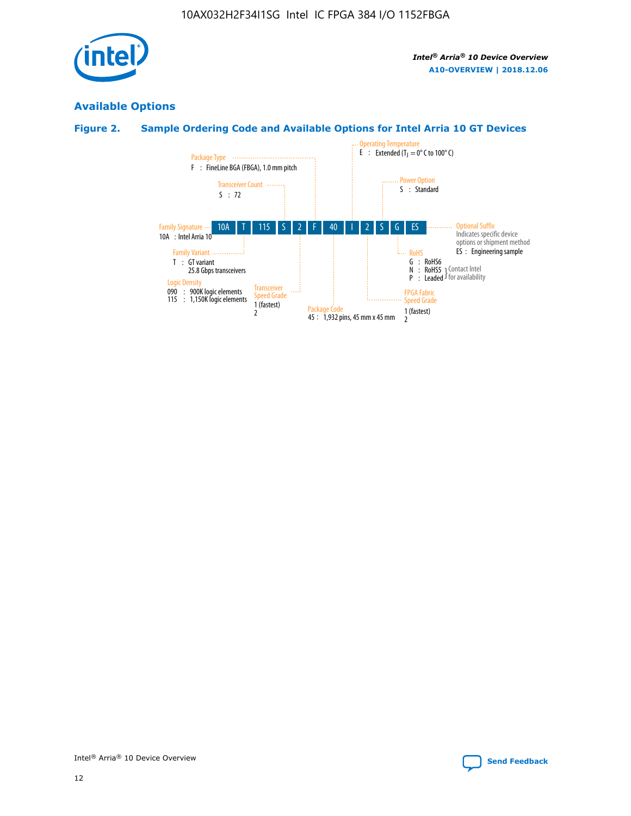

## **Available Options**

## **Figure 2. Sample Ordering Code and Available Options for Intel Arria 10 GT Devices**

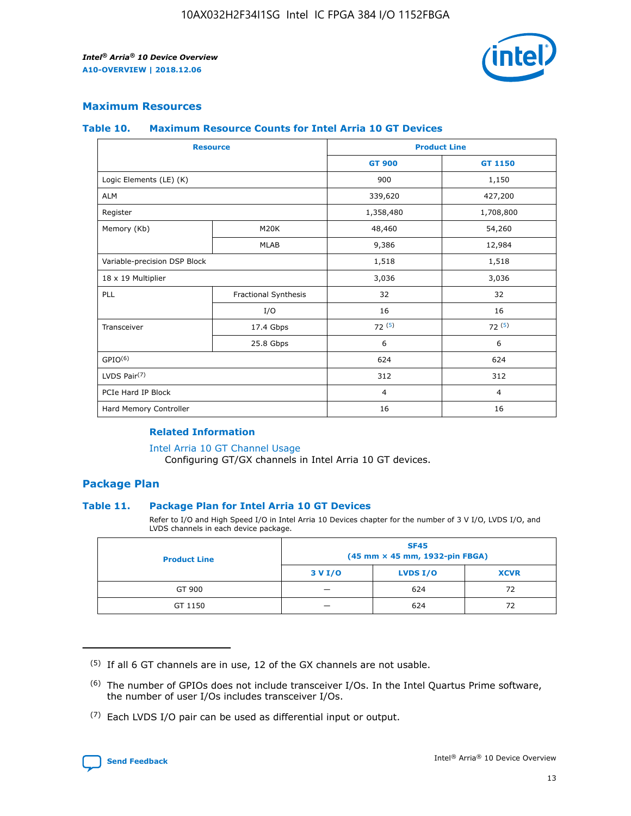

## **Maximum Resources**

#### **Table 10. Maximum Resource Counts for Intel Arria 10 GT Devices**

| <b>Resource</b>              |                      |                | <b>Product Line</b> |  |
|------------------------------|----------------------|----------------|---------------------|--|
|                              |                      | <b>GT 900</b>  | GT 1150             |  |
| Logic Elements (LE) (K)      |                      | 900            | 1,150               |  |
| <b>ALM</b>                   |                      | 339,620        | 427,200             |  |
| Register                     |                      | 1,358,480      | 1,708,800           |  |
| Memory (Kb)                  | M20K                 | 48,460         | 54,260              |  |
|                              | <b>MLAB</b>          | 9,386          | 12,984              |  |
| Variable-precision DSP Block |                      | 1,518          | 1,518               |  |
| 18 x 19 Multiplier           |                      | 3,036          | 3,036               |  |
| PLL                          | Fractional Synthesis | 32             | 32                  |  |
|                              | I/O                  | 16             | 16                  |  |
| Transceiver                  | 17.4 Gbps            | 72(5)          | 72(5)               |  |
|                              | 25.8 Gbps            | 6              | 6                   |  |
| GPIO <sup>(6)</sup>          |                      | 624            | 624                 |  |
| LVDS Pair $(7)$              |                      | 312            | 312                 |  |
| PCIe Hard IP Block           |                      | $\overline{4}$ | $\overline{4}$      |  |
| Hard Memory Controller       |                      | 16             | 16                  |  |

## **Related Information**

#### [Intel Arria 10 GT Channel Usage](https://www.intel.com/content/www/us/en/programmable/documentation/nik1398707230472.html#nik1398707008178)

Configuring GT/GX channels in Intel Arria 10 GT devices.

## **Package Plan**

## **Table 11. Package Plan for Intel Arria 10 GT Devices**

Refer to I/O and High Speed I/O in Intel Arria 10 Devices chapter for the number of 3 V I/O, LVDS I/O, and LVDS channels in each device package.

| <b>Product Line</b> | <b>SF45</b><br>(45 mm × 45 mm, 1932-pin FBGA) |                 |             |  |  |  |
|---------------------|-----------------------------------------------|-----------------|-------------|--|--|--|
|                     | 3 V I/O                                       | <b>LVDS I/O</b> | <b>XCVR</b> |  |  |  |
| GT 900              |                                               | 624             | 72          |  |  |  |
| GT 1150             |                                               | 624             | 72          |  |  |  |

<sup>(7)</sup> Each LVDS I/O pair can be used as differential input or output.



 $(5)$  If all 6 GT channels are in use, 12 of the GX channels are not usable.

<sup>(6)</sup> The number of GPIOs does not include transceiver I/Os. In the Intel Quartus Prime software, the number of user I/Os includes transceiver I/Os.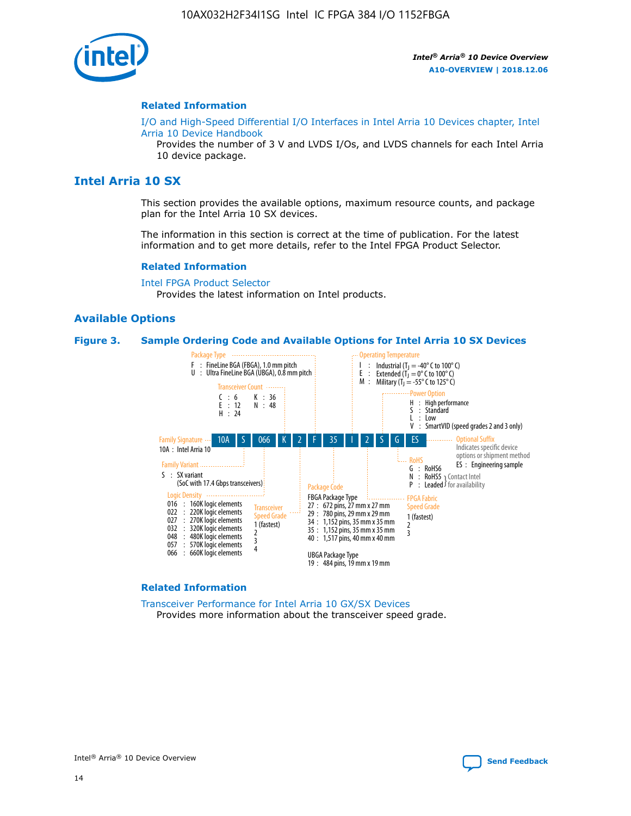

### **Related Information**

[I/O and High-Speed Differential I/O Interfaces in Intel Arria 10 Devices chapter, Intel](https://www.intel.com/content/www/us/en/programmable/documentation/sam1403482614086.html#sam1403482030321) [Arria 10 Device Handbook](https://www.intel.com/content/www/us/en/programmable/documentation/sam1403482614086.html#sam1403482030321)

Provides the number of 3 V and LVDS I/Os, and LVDS channels for each Intel Arria 10 device package.

## **Intel Arria 10 SX**

This section provides the available options, maximum resource counts, and package plan for the Intel Arria 10 SX devices.

The information in this section is correct at the time of publication. For the latest information and to get more details, refer to the Intel FPGA Product Selector.

#### **Related Information**

[Intel FPGA Product Selector](http://www.altera.com/products/selector/psg-selector.html) Provides the latest information on Intel products.

## **Available Options**

#### **Figure 3. Sample Ordering Code and Available Options for Intel Arria 10 SX Devices**



#### **Related Information**

[Transceiver Performance for Intel Arria 10 GX/SX Devices](https://www.intel.com/content/www/us/en/programmable/documentation/mcn1413182292568.html#mcn1413213965502) Provides more information about the transceiver speed grade.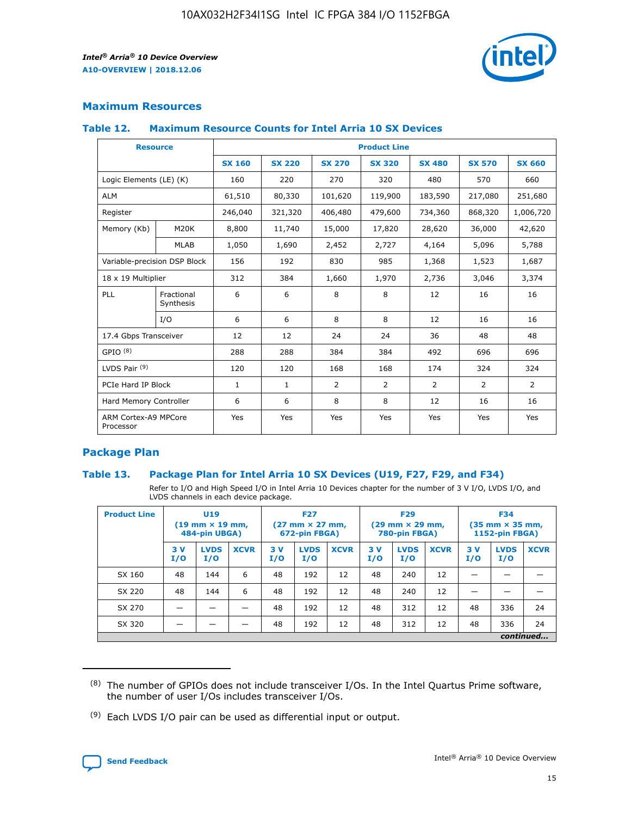

## **Maximum Resources**

## **Table 12. Maximum Resource Counts for Intel Arria 10 SX Devices**

|                                   | <b>Resource</b>         | <b>Product Line</b> |               |                |                |                |                |                |  |  |  |
|-----------------------------------|-------------------------|---------------------|---------------|----------------|----------------|----------------|----------------|----------------|--|--|--|
|                                   |                         | <b>SX 160</b>       | <b>SX 220</b> | <b>SX 270</b>  | <b>SX 320</b>  | <b>SX 480</b>  | <b>SX 570</b>  | <b>SX 660</b>  |  |  |  |
| Logic Elements (LE) (K)           |                         | 160                 | 220           | 270            | 320            | 480            | 570            | 660            |  |  |  |
| <b>ALM</b>                        |                         | 61,510              | 80,330        | 101,620        | 119,900        | 183,590        | 217,080        | 251,680        |  |  |  |
| Register                          |                         | 246,040             | 321,320       | 406,480        | 479,600        | 734,360        | 868,320        | 1,006,720      |  |  |  |
| Memory (Kb)                       | <b>M20K</b>             | 8,800               | 11,740        | 15,000         | 17,820         | 28,620         | 36,000         | 42,620         |  |  |  |
|                                   | <b>MLAB</b>             | 1,050               | 1,690         | 2,452          | 2,727          | 4,164          | 5,096          | 5,788          |  |  |  |
| Variable-precision DSP Block      |                         | 156                 | 192           | 830            | 985            | 1,368          | 1,523          | 1,687          |  |  |  |
| 18 x 19 Multiplier                |                         | 312                 | 384           | 1,660          | 1,970          | 2,736          | 3,046          | 3,374          |  |  |  |
| <b>PLL</b>                        | Fractional<br>Synthesis | 6                   | 6             | 8              | 8              | 12             | 16             | 16             |  |  |  |
|                                   | I/O                     | 6                   | 6             | 8              | 8              | 12             | 16             | 16             |  |  |  |
| 17.4 Gbps Transceiver             |                         | 12                  | 12            | 24             | 24             | 36             | 48             | 48             |  |  |  |
| GPIO <sup>(8)</sup>               |                         | 288                 | 288           | 384            | 384            | 492            | 696            | 696            |  |  |  |
| LVDS Pair $(9)$                   |                         | 120                 | 120           | 168            | 168            | 174            | 324            | 324            |  |  |  |
| PCIe Hard IP Block                |                         | $\mathbf{1}$        | $\mathbf{1}$  | $\overline{2}$ | $\overline{2}$ | $\overline{2}$ | $\overline{2}$ | $\overline{2}$ |  |  |  |
| Hard Memory Controller            |                         | 6                   | 6             | 8              | 8              | 12             | 16             | 16             |  |  |  |
| ARM Cortex-A9 MPCore<br>Processor |                         | Yes                 | Yes           | Yes            | Yes            | Yes            | Yes            | Yes            |  |  |  |

## **Package Plan**

## **Table 13. Package Plan for Intel Arria 10 SX Devices (U19, F27, F29, and F34)**

Refer to I/O and High Speed I/O in Intel Arria 10 Devices chapter for the number of 3 V I/O, LVDS I/O, and LVDS channels in each device package.

| <b>Product Line</b> | <b>U19</b><br>$(19 \text{ mm} \times 19 \text{ mm})$<br>484-pin UBGA) |                    |             | <b>F27</b><br>$(27 \text{ mm} \times 27 \text{ mm})$<br>672-pin FBGA) |                    | <b>F29</b><br>$(29$ mm $\times$ 29 mm,<br>780-pin FBGA) |            |                    | <b>F34</b><br>$(35 \text{ mm} \times 35 \text{ mm})$<br>1152-pin FBGA) |           |                    |             |
|---------------------|-----------------------------------------------------------------------|--------------------|-------------|-----------------------------------------------------------------------|--------------------|---------------------------------------------------------|------------|--------------------|------------------------------------------------------------------------|-----------|--------------------|-------------|
|                     | 3V<br>I/O                                                             | <b>LVDS</b><br>I/O | <b>XCVR</b> | 3V<br>I/O                                                             | <b>LVDS</b><br>I/O | <b>XCVR</b>                                             | 3 V<br>I/O | <b>LVDS</b><br>I/O | <b>XCVR</b>                                                            | 3V<br>I/O | <b>LVDS</b><br>I/O | <b>XCVR</b> |
| SX 160              | 48                                                                    | 144                | 6           | 48                                                                    | 192                | 12                                                      | 48         | 240                | 12                                                                     | –         |                    |             |
| SX 220              | 48                                                                    | 144                | 6           | 48                                                                    | 192                | 12                                                      | 48         | 240                | 12                                                                     |           |                    |             |
| SX 270              |                                                                       |                    |             | 48                                                                    | 192                | 12                                                      | 48         | 312                | 12                                                                     | 48        | 336                | 24          |
| SX 320              |                                                                       |                    |             | 48                                                                    | 192                | 12                                                      | 48         | 312                | 12                                                                     | 48        | 336                | 24          |
|                     | continued                                                             |                    |             |                                                                       |                    |                                                         |            |                    |                                                                        |           |                    |             |

 $(8)$  The number of GPIOs does not include transceiver I/Os. In the Intel Quartus Prime software, the number of user I/Os includes transceiver I/Os.

 $(9)$  Each LVDS I/O pair can be used as differential input or output.

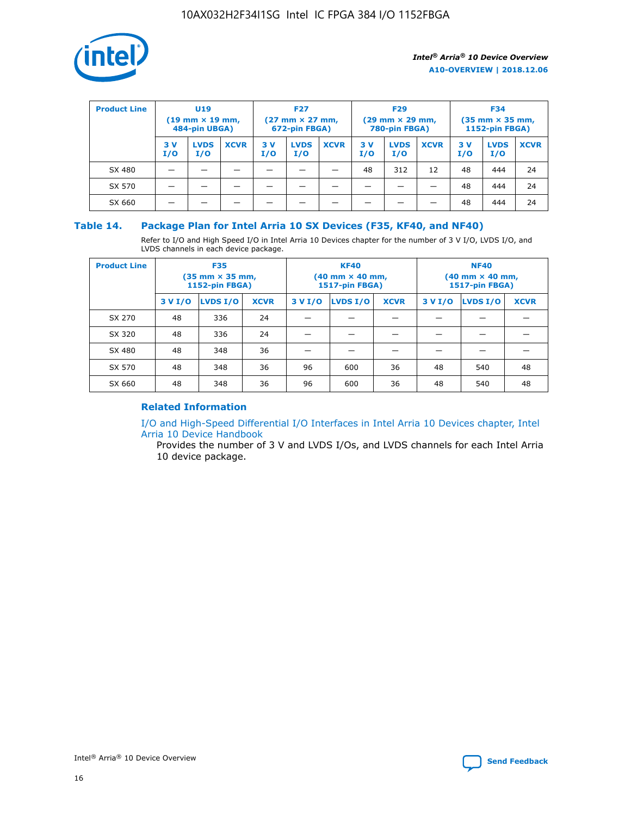

| <b>Product Line</b> | U <sub>19</sub><br>$(19$ mm $\times$ 19 mm,<br>484-pin UBGA) |                    |             | <b>F27</b><br>$(27 \text{ mm} \times 27 \text{ mm})$<br>672-pin FBGA) |                    |             | <b>F29</b><br>$(29 \text{ mm} \times 29 \text{ mm})$<br>780-pin FBGA) |                    |             | <b>F34</b><br>$(35$ mm $\times$ 35 mm,<br>1152-pin FBGA) |                    |             |
|---------------------|--------------------------------------------------------------|--------------------|-------------|-----------------------------------------------------------------------|--------------------|-------------|-----------------------------------------------------------------------|--------------------|-------------|----------------------------------------------------------|--------------------|-------------|
|                     | 3 V<br>I/O                                                   | <b>LVDS</b><br>I/O | <b>XCVR</b> | 3V<br>I/O                                                             | <b>LVDS</b><br>I/O | <b>XCVR</b> | 3V<br>I/O                                                             | <b>LVDS</b><br>I/O | <b>XCVR</b> | 3V<br>I/O                                                | <b>LVDS</b><br>I/O | <b>XCVR</b> |
| SX 480              |                                                              |                    |             |                                                                       |                    |             | 48                                                                    | 312                | 12          | 48                                                       | 444                | 24          |
| SX 570              |                                                              |                    |             |                                                                       |                    |             |                                                                       |                    |             | 48                                                       | 444                | 24          |
| SX 660              |                                                              |                    |             |                                                                       |                    |             |                                                                       |                    |             | 48                                                       | 444                | 24          |

## **Table 14. Package Plan for Intel Arria 10 SX Devices (F35, KF40, and NF40)**

Refer to I/O and High Speed I/O in Intel Arria 10 Devices chapter for the number of 3 V I/O, LVDS I/O, and LVDS channels in each device package.

| <b>Product Line</b> | <b>F35</b><br>$(35 \text{ mm} \times 35 \text{ mm})$<br><b>1152-pin FBGA)</b> |          |             |                                           | <b>KF40</b><br>(40 mm × 40 mm,<br>1517-pin FBGA) |    | <b>NF40</b><br>$(40 \text{ mm} \times 40 \text{ mm})$<br>1517-pin FBGA) |          |             |  |
|---------------------|-------------------------------------------------------------------------------|----------|-------------|-------------------------------------------|--------------------------------------------------|----|-------------------------------------------------------------------------|----------|-------------|--|
|                     | 3 V I/O                                                                       | LVDS I/O | <b>XCVR</b> | <b>LVDS I/O</b><br><b>XCVR</b><br>3 V I/O |                                                  |    | 3 V I/O                                                                 | LVDS I/O | <b>XCVR</b> |  |
| SX 270              | 48                                                                            | 336      | 24          |                                           |                                                  |    |                                                                         |          |             |  |
| SX 320              | 48                                                                            | 336      | 24          |                                           |                                                  |    |                                                                         |          |             |  |
| SX 480              | 48                                                                            | 348      | 36          |                                           |                                                  |    |                                                                         |          |             |  |
| SX 570              | 48                                                                            | 348      | 36          | 96                                        | 600                                              | 36 | 48                                                                      | 540      | 48          |  |
| SX 660              | 48                                                                            | 348      | 36          | 96                                        | 600                                              | 36 | 48                                                                      | 540      | 48          |  |

## **Related Information**

[I/O and High-Speed Differential I/O Interfaces in Intel Arria 10 Devices chapter, Intel](https://www.intel.com/content/www/us/en/programmable/documentation/sam1403482614086.html#sam1403482030321) [Arria 10 Device Handbook](https://www.intel.com/content/www/us/en/programmable/documentation/sam1403482614086.html#sam1403482030321)

Provides the number of 3 V and LVDS I/Os, and LVDS channels for each Intel Arria 10 device package.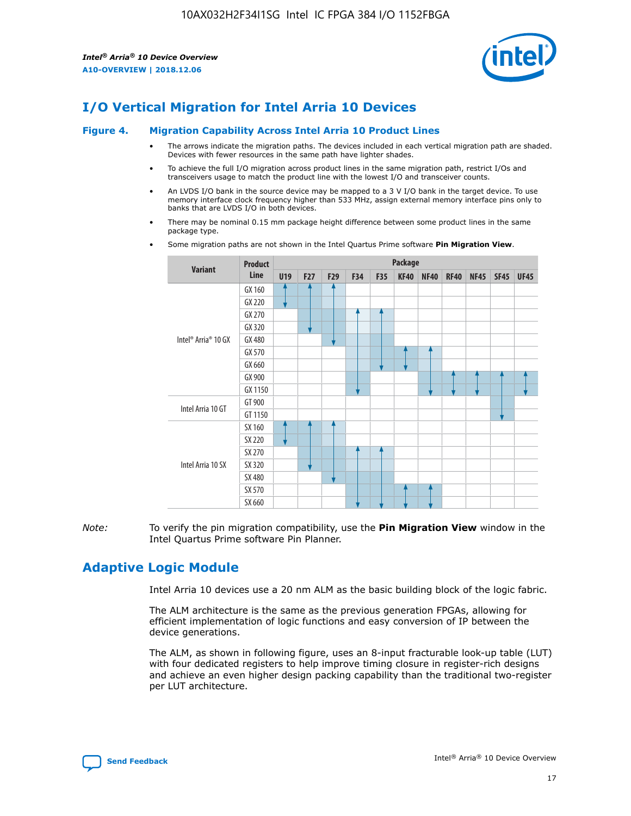

# **I/O Vertical Migration for Intel Arria 10 Devices**

#### **Figure 4. Migration Capability Across Intel Arria 10 Product Lines**

- The arrows indicate the migration paths. The devices included in each vertical migration path are shaded. Devices with fewer resources in the same path have lighter shades.
- To achieve the full I/O migration across product lines in the same migration path, restrict I/Os and transceivers usage to match the product line with the lowest I/O and transceiver counts.
- An LVDS I/O bank in the source device may be mapped to a 3 V I/O bank in the target device. To use memory interface clock frequency higher than 533 MHz, assign external memory interface pins only to banks that are LVDS I/O in both devices.
- There may be nominal 0.15 mm package height difference between some product lines in the same package type.
	- **Variant Product Line Package U19 F27 F29 F34 F35 KF40 NF40 RF40 NF45 SF45 UF45** Intel® Arria® 10 GX GX 160 GX 220 GX 270 GX 320 GX 480 GX 570 GX 660 GX 900 GX 1150 Intel Arria 10 GT GT 900 GT 1150 Intel Arria 10 SX SX 160 SX 220 SX 270 SX 320 SX 480 SX 570 SX 660
- Some migration paths are not shown in the Intel Quartus Prime software **Pin Migration View**.

*Note:* To verify the pin migration compatibility, use the **Pin Migration View** window in the Intel Quartus Prime software Pin Planner.

## **Adaptive Logic Module**

Intel Arria 10 devices use a 20 nm ALM as the basic building block of the logic fabric.

The ALM architecture is the same as the previous generation FPGAs, allowing for efficient implementation of logic functions and easy conversion of IP between the device generations.

The ALM, as shown in following figure, uses an 8-input fracturable look-up table (LUT) with four dedicated registers to help improve timing closure in register-rich designs and achieve an even higher design packing capability than the traditional two-register per LUT architecture.

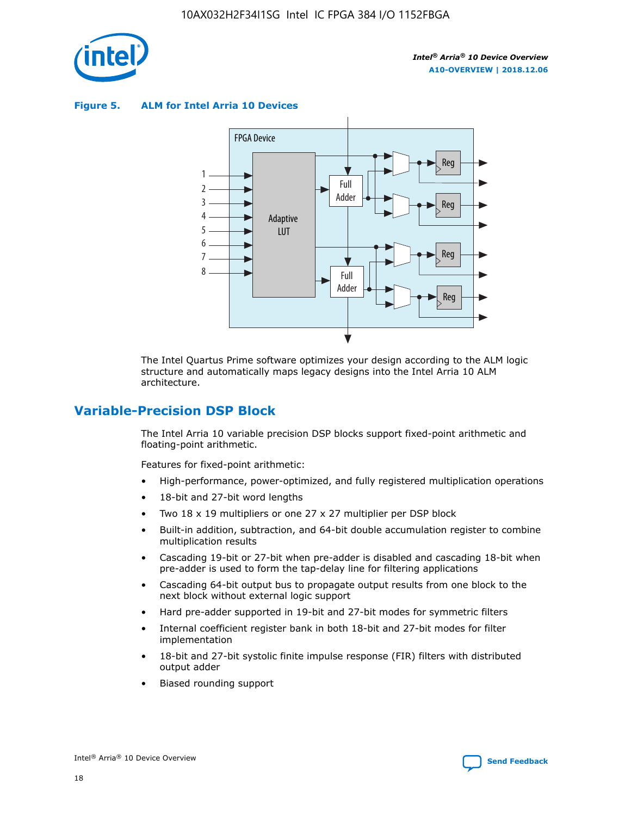

**Figure 5. ALM for Intel Arria 10 Devices**



The Intel Quartus Prime software optimizes your design according to the ALM logic structure and automatically maps legacy designs into the Intel Arria 10 ALM architecture.

## **Variable-Precision DSP Block**

The Intel Arria 10 variable precision DSP blocks support fixed-point arithmetic and floating-point arithmetic.

Features for fixed-point arithmetic:

- High-performance, power-optimized, and fully registered multiplication operations
- 18-bit and 27-bit word lengths
- Two 18 x 19 multipliers or one 27 x 27 multiplier per DSP block
- Built-in addition, subtraction, and 64-bit double accumulation register to combine multiplication results
- Cascading 19-bit or 27-bit when pre-adder is disabled and cascading 18-bit when pre-adder is used to form the tap-delay line for filtering applications
- Cascading 64-bit output bus to propagate output results from one block to the next block without external logic support
- Hard pre-adder supported in 19-bit and 27-bit modes for symmetric filters
- Internal coefficient register bank in both 18-bit and 27-bit modes for filter implementation
- 18-bit and 27-bit systolic finite impulse response (FIR) filters with distributed output adder
- Biased rounding support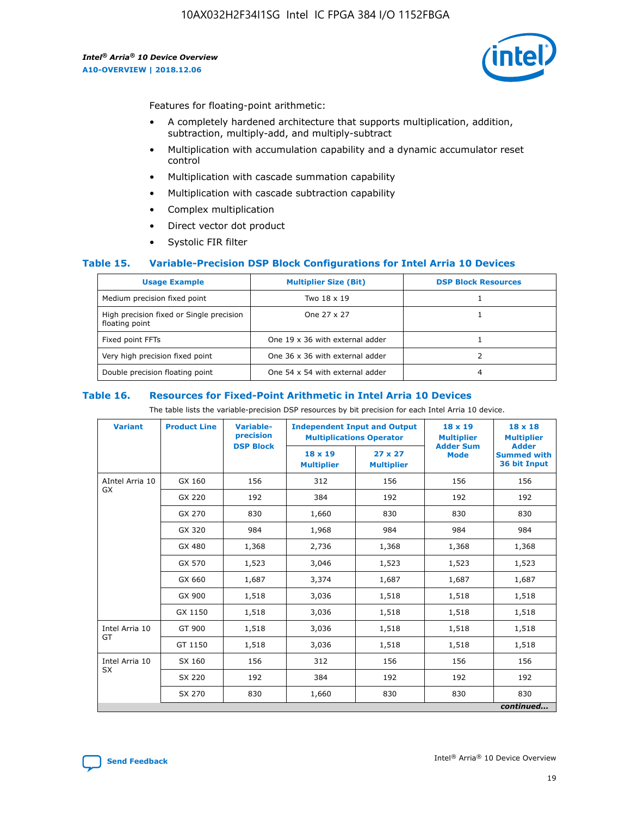

Features for floating-point arithmetic:

- A completely hardened architecture that supports multiplication, addition, subtraction, multiply-add, and multiply-subtract
- Multiplication with accumulation capability and a dynamic accumulator reset control
- Multiplication with cascade summation capability
- Multiplication with cascade subtraction capability
- Complex multiplication
- Direct vector dot product
- Systolic FIR filter

## **Table 15. Variable-Precision DSP Block Configurations for Intel Arria 10 Devices**

| <b>Usage Example</b>                                       | <b>Multiplier Size (Bit)</b>    | <b>DSP Block Resources</b> |
|------------------------------------------------------------|---------------------------------|----------------------------|
| Medium precision fixed point                               | Two 18 x 19                     |                            |
| High precision fixed or Single precision<br>floating point | One 27 x 27                     |                            |
| Fixed point FFTs                                           | One 19 x 36 with external adder |                            |
| Very high precision fixed point                            | One 36 x 36 with external adder |                            |
| Double precision floating point                            | One 54 x 54 with external adder | 4                          |

#### **Table 16. Resources for Fixed-Point Arithmetic in Intel Arria 10 Devices**

The table lists the variable-precision DSP resources by bit precision for each Intel Arria 10 device.

| <b>Variant</b>  | <b>Product Line</b> | <b>Variable-</b><br>precision<br><b>DSP Block</b> | <b>Independent Input and Output</b><br><b>Multiplications Operator</b> |                                     | 18 x 19<br><b>Multiplier</b><br><b>Adder Sum</b> | $18 \times 18$<br><b>Multiplier</b><br><b>Adder</b> |
|-----------------|---------------------|---------------------------------------------------|------------------------------------------------------------------------|-------------------------------------|--------------------------------------------------|-----------------------------------------------------|
|                 |                     |                                                   | 18 x 19<br><b>Multiplier</b>                                           | $27 \times 27$<br><b>Multiplier</b> | <b>Mode</b>                                      | <b>Summed with</b><br>36 bit Input                  |
| AIntel Arria 10 | GX 160              | 156                                               | 312                                                                    | 156                                 | 156                                              | 156                                                 |
| GX              | GX 220              | 192                                               | 384                                                                    | 192                                 | 192                                              | 192                                                 |
|                 | GX 270              | 830                                               | 1,660                                                                  | 830                                 | 830                                              | 830                                                 |
|                 | GX 320              | 984                                               | 1,968                                                                  | 984                                 | 984                                              | 984                                                 |
|                 | GX 480              | 1,368                                             | 2,736                                                                  | 1,368                               | 1,368                                            | 1,368                                               |
|                 | GX 570              | 1,523                                             | 3,046                                                                  | 1,523                               | 1,523                                            | 1,523                                               |
|                 | GX 660              | 1,687                                             | 3,374                                                                  | 1,687                               | 1,687                                            | 1,687                                               |
|                 | GX 900              | 1,518                                             | 3,036                                                                  | 1,518                               | 1,518                                            | 1,518                                               |
|                 | GX 1150             | 1,518                                             | 3,036                                                                  | 1,518                               | 1,518                                            | 1,518                                               |
| Intel Arria 10  | GT 900              | 1,518                                             | 3,036                                                                  | 1,518                               | 1,518                                            | 1,518                                               |
| GT              | GT 1150             | 1,518                                             | 3,036                                                                  | 1,518                               | 1,518                                            | 1,518                                               |
| Intel Arria 10  | SX 160              | 156                                               | 312                                                                    | 156                                 | 156                                              | 156                                                 |
| <b>SX</b>       | SX 220<br>192       |                                                   | 384                                                                    | 192                                 | 192                                              | 192                                                 |
|                 | SX 270              | 830                                               | 1,660                                                                  | 830                                 | 830                                              | 830                                                 |
|                 |                     |                                                   |                                                                        |                                     |                                                  | continued                                           |

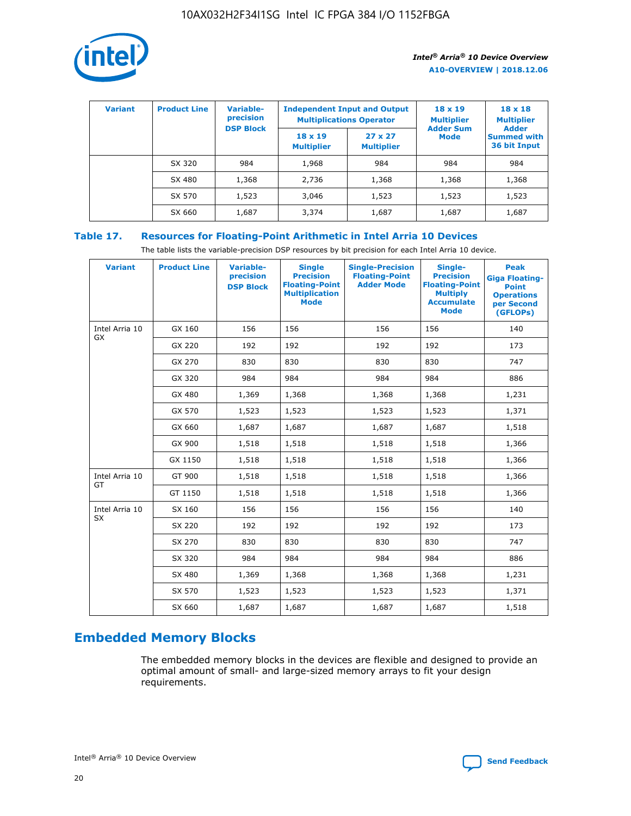

| <b>Variant</b> | <b>Product Line</b> | <b>Variable-</b><br>precision<br><b>DSP Block</b> | <b>Independent Input and Output</b><br><b>Multiplications Operator</b> |                                     | $18 \times 19$<br><b>Multiplier</b><br><b>Adder Sum</b> | $18 \times 18$<br><b>Multiplier</b><br><b>Adder</b> |  |
|----------------|---------------------|---------------------------------------------------|------------------------------------------------------------------------|-------------------------------------|---------------------------------------------------------|-----------------------------------------------------|--|
|                |                     |                                                   | $18 \times 19$<br><b>Multiplier</b>                                    | $27 \times 27$<br><b>Multiplier</b> | <b>Mode</b>                                             | <b>Summed with</b><br>36 bit Input                  |  |
|                | SX 320              | 984                                               | 1,968                                                                  | 984                                 | 984                                                     | 984                                                 |  |
|                | SX 480              | 1,368                                             | 2,736                                                                  | 1,368                               | 1,368                                                   | 1,368                                               |  |
|                | SX 570              | 1,523                                             | 3,046                                                                  | 1,523                               | 1,523                                                   | 1,523                                               |  |
|                | SX 660              | 1,687                                             | 3,374                                                                  | 1,687                               | 1,687                                                   | 1,687                                               |  |

## **Table 17. Resources for Floating-Point Arithmetic in Intel Arria 10 Devices**

The table lists the variable-precision DSP resources by bit precision for each Intel Arria 10 device.

| <b>Variant</b> | <b>Product Line</b> | <b>Variable-</b><br>precision<br><b>DSP Block</b> | <b>Single</b><br><b>Precision</b><br><b>Floating-Point</b><br><b>Multiplication</b><br><b>Mode</b> | <b>Single-Precision</b><br><b>Floating-Point</b><br><b>Adder Mode</b> | Single-<br><b>Precision</b><br><b>Floating-Point</b><br><b>Multiply</b><br><b>Accumulate</b><br><b>Mode</b> | <b>Peak</b><br><b>Giga Floating-</b><br><b>Point</b><br><b>Operations</b><br>per Second<br>(GFLOPs) |
|----------------|---------------------|---------------------------------------------------|----------------------------------------------------------------------------------------------------|-----------------------------------------------------------------------|-------------------------------------------------------------------------------------------------------------|-----------------------------------------------------------------------------------------------------|
| Intel Arria 10 | GX 160              | 156                                               | 156                                                                                                | 156                                                                   | 156                                                                                                         | 140                                                                                                 |
| GX             | GX 220              | 192                                               | 192                                                                                                | 192                                                                   | 192                                                                                                         | 173                                                                                                 |
|                | GX 270              | 830                                               | 830                                                                                                | 830                                                                   | 830                                                                                                         | 747                                                                                                 |
|                | GX 320              | 984                                               | 984                                                                                                | 984                                                                   | 984                                                                                                         | 886                                                                                                 |
|                | GX 480              | 1,369                                             | 1,368                                                                                              | 1,368                                                                 | 1,368                                                                                                       | 1,231                                                                                               |
|                | GX 570              | 1,523                                             | 1,523                                                                                              | 1,523                                                                 | 1,523                                                                                                       | 1,371                                                                                               |
|                | GX 660              | 1,687                                             | 1,687                                                                                              | 1,687                                                                 | 1,687                                                                                                       | 1,518                                                                                               |
|                | GX 900              | 1,518                                             | 1,518                                                                                              | 1,518                                                                 | 1,518                                                                                                       | 1,366                                                                                               |
|                | GX 1150             | 1,518                                             | 1,518                                                                                              | 1,518                                                                 | 1,518                                                                                                       | 1,366                                                                                               |
| Intel Arria 10 | GT 900              | 1,518                                             | 1,518                                                                                              | 1,518                                                                 | 1,518                                                                                                       | 1,366                                                                                               |
| GT             | GT 1150             | 1,518                                             | 1,518                                                                                              | 1,518                                                                 | 1,518                                                                                                       | 1,366                                                                                               |
| Intel Arria 10 | SX 160              | 156                                               | 156                                                                                                | 156                                                                   | 156                                                                                                         | 140                                                                                                 |
| SX             | SX 220              | 192                                               | 192                                                                                                | 192                                                                   | 192                                                                                                         | 173                                                                                                 |
|                | SX 270              | 830                                               | 830                                                                                                | 830                                                                   | 830                                                                                                         | 747                                                                                                 |
|                | SX 320              | 984                                               | 984                                                                                                | 984                                                                   | 984                                                                                                         | 886                                                                                                 |
|                | SX 480              | 1,369                                             | 1,368                                                                                              | 1,368                                                                 | 1,368                                                                                                       | 1,231                                                                                               |
|                | SX 570              | 1,523                                             | 1,523                                                                                              | 1,523                                                                 | 1,523                                                                                                       | 1,371                                                                                               |
|                | SX 660              | 1,687                                             | 1,687                                                                                              | 1,687                                                                 | 1,687                                                                                                       | 1,518                                                                                               |

# **Embedded Memory Blocks**

The embedded memory blocks in the devices are flexible and designed to provide an optimal amount of small- and large-sized memory arrays to fit your design requirements.

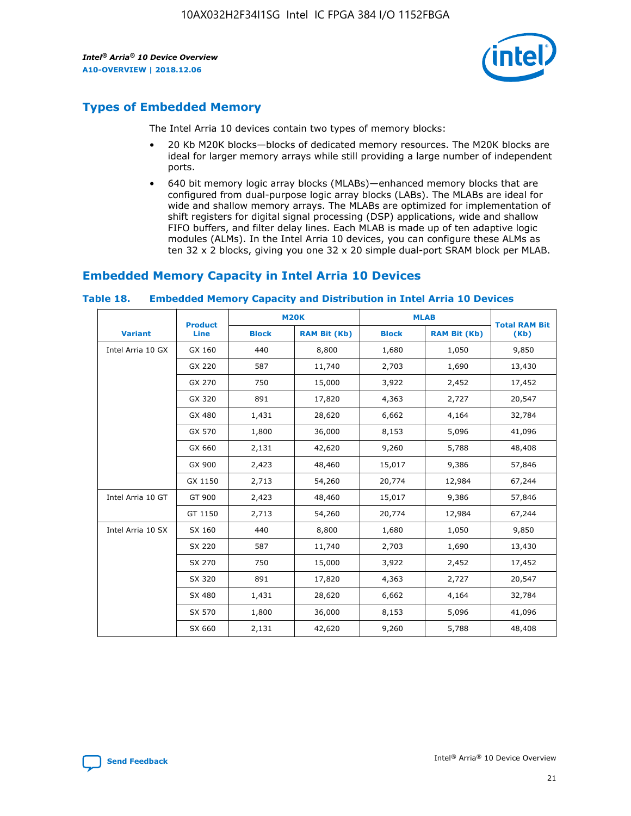

## **Types of Embedded Memory**

The Intel Arria 10 devices contain two types of memory blocks:

- 20 Kb M20K blocks—blocks of dedicated memory resources. The M20K blocks are ideal for larger memory arrays while still providing a large number of independent ports.
- 640 bit memory logic array blocks (MLABs)—enhanced memory blocks that are configured from dual-purpose logic array blocks (LABs). The MLABs are ideal for wide and shallow memory arrays. The MLABs are optimized for implementation of shift registers for digital signal processing (DSP) applications, wide and shallow FIFO buffers, and filter delay lines. Each MLAB is made up of ten adaptive logic modules (ALMs). In the Intel Arria 10 devices, you can configure these ALMs as ten 32 x 2 blocks, giving you one 32 x 20 simple dual-port SRAM block per MLAB.

## **Embedded Memory Capacity in Intel Arria 10 Devices**

|                   | <b>Product</b> |              | <b>M20K</b>         | <b>MLAB</b>  |                     | <b>Total RAM Bit</b> |
|-------------------|----------------|--------------|---------------------|--------------|---------------------|----------------------|
| <b>Variant</b>    | Line           | <b>Block</b> | <b>RAM Bit (Kb)</b> | <b>Block</b> | <b>RAM Bit (Kb)</b> | (Kb)                 |
| Intel Arria 10 GX | GX 160         | 440          | 8,800               | 1,680        | 1,050               | 9,850                |
|                   | GX 220         | 587          | 11,740              | 2,703        | 1,690               | 13,430               |
|                   | GX 270         | 750          | 15,000              | 3,922        | 2,452               | 17,452               |
|                   | GX 320         | 891          | 17,820              | 4,363        | 2,727               | 20,547               |
|                   | GX 480         | 1,431        | 28,620              | 6,662        | 4,164               | 32,784               |
|                   | GX 570         | 1,800        | 36,000              | 8,153        | 5,096               | 41,096               |
|                   | GX 660         | 2,131        | 42,620              | 9,260        | 5,788               | 48,408               |
|                   | GX 900         | 2,423        | 48,460              | 15,017       | 9,386               | 57,846               |
|                   | GX 1150        | 2,713        | 54,260              | 20,774       | 12,984              | 67,244               |
| Intel Arria 10 GT | GT 900         | 2,423        | 48,460              | 15,017       | 9,386               | 57,846               |
|                   | GT 1150        | 2,713        | 54,260              | 20,774       | 12,984              | 67,244               |
| Intel Arria 10 SX | SX 160         | 440          | 8,800               | 1,680        | 1,050               | 9,850                |
|                   | SX 220         | 587          | 11,740              | 2,703        | 1,690               | 13,430               |
|                   | SX 270         | 750          | 15,000              | 3,922        | 2,452               | 17,452               |
|                   | SX 320         | 891          | 17,820              | 4,363        | 2,727               | 20,547               |
|                   | SX 480         | 1,431        | 28,620              | 6,662        | 4,164               | 32,784               |
|                   | SX 570         | 1,800        | 36,000              | 8,153        | 5,096               | 41,096               |
|                   | SX 660         | 2,131        | 42,620              | 9,260        | 5,788               | 48,408               |

#### **Table 18. Embedded Memory Capacity and Distribution in Intel Arria 10 Devices**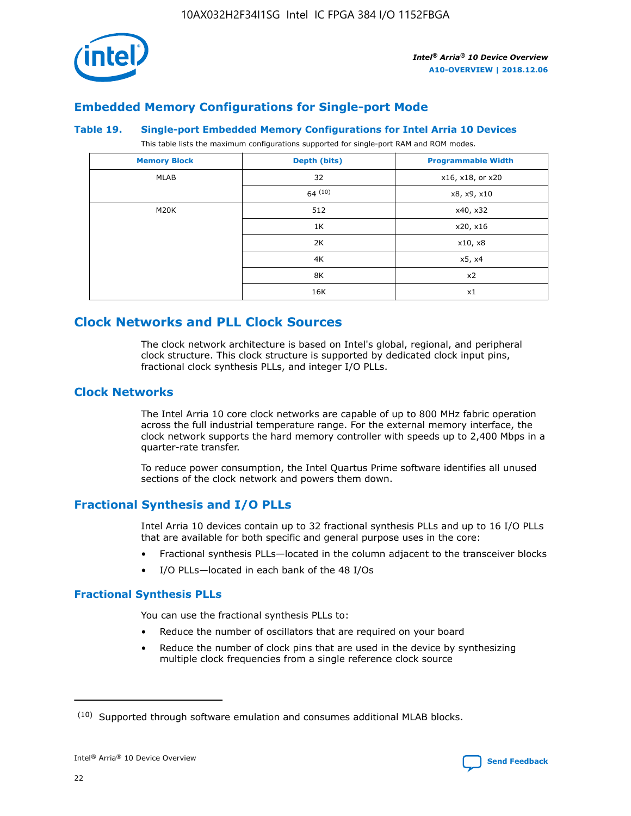

## **Embedded Memory Configurations for Single-port Mode**

## **Table 19. Single-port Embedded Memory Configurations for Intel Arria 10 Devices**

This table lists the maximum configurations supported for single-port RAM and ROM modes.

| <b>Memory Block</b> | Depth (bits)           | <b>Programmable Width</b> |
|---------------------|------------------------|---------------------------|
| MLAB                | 32<br>x16, x18, or x20 |                           |
|                     | 64(10)                 | x8, x9, x10               |
| M20K                | 512                    | x40, x32                  |
|                     | 1K                     | x20, x16                  |
|                     | 2K                     | x10, x8                   |
|                     | 4K                     | x5, x4                    |
|                     | 8K                     | x2                        |
|                     | 16K                    | x1                        |

## **Clock Networks and PLL Clock Sources**

The clock network architecture is based on Intel's global, regional, and peripheral clock structure. This clock structure is supported by dedicated clock input pins, fractional clock synthesis PLLs, and integer I/O PLLs.

## **Clock Networks**

The Intel Arria 10 core clock networks are capable of up to 800 MHz fabric operation across the full industrial temperature range. For the external memory interface, the clock network supports the hard memory controller with speeds up to 2,400 Mbps in a quarter-rate transfer.

To reduce power consumption, the Intel Quartus Prime software identifies all unused sections of the clock network and powers them down.

## **Fractional Synthesis and I/O PLLs**

Intel Arria 10 devices contain up to 32 fractional synthesis PLLs and up to 16 I/O PLLs that are available for both specific and general purpose uses in the core:

- Fractional synthesis PLLs—located in the column adjacent to the transceiver blocks
- I/O PLLs—located in each bank of the 48 I/Os

## **Fractional Synthesis PLLs**

You can use the fractional synthesis PLLs to:

- Reduce the number of oscillators that are required on your board
- Reduce the number of clock pins that are used in the device by synthesizing multiple clock frequencies from a single reference clock source

<sup>(10)</sup> Supported through software emulation and consumes additional MLAB blocks.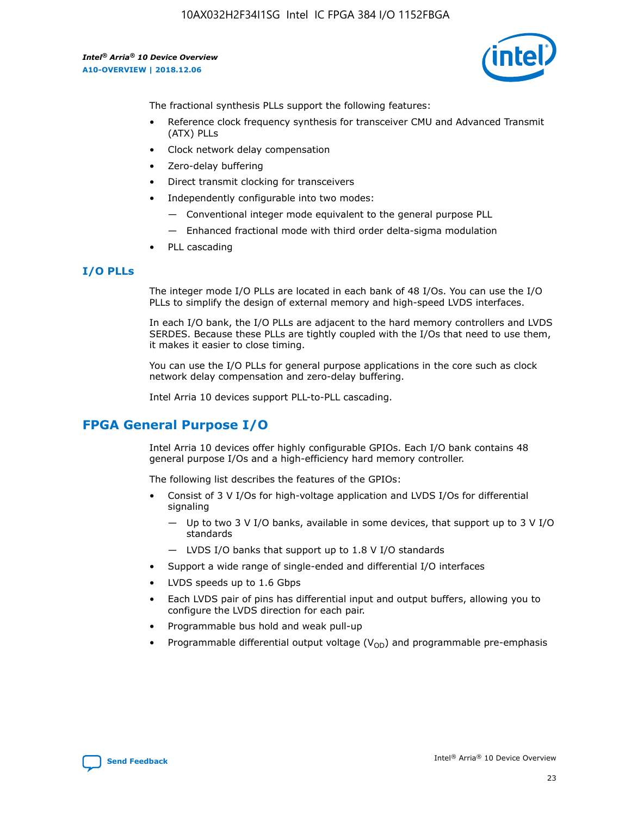

The fractional synthesis PLLs support the following features:

- Reference clock frequency synthesis for transceiver CMU and Advanced Transmit (ATX) PLLs
- Clock network delay compensation
- Zero-delay buffering
- Direct transmit clocking for transceivers
- Independently configurable into two modes:
	- Conventional integer mode equivalent to the general purpose PLL
	- Enhanced fractional mode with third order delta-sigma modulation
- PLL cascading

## **I/O PLLs**

The integer mode I/O PLLs are located in each bank of 48 I/Os. You can use the I/O PLLs to simplify the design of external memory and high-speed LVDS interfaces.

In each I/O bank, the I/O PLLs are adjacent to the hard memory controllers and LVDS SERDES. Because these PLLs are tightly coupled with the I/Os that need to use them, it makes it easier to close timing.

You can use the I/O PLLs for general purpose applications in the core such as clock network delay compensation and zero-delay buffering.

Intel Arria 10 devices support PLL-to-PLL cascading.

## **FPGA General Purpose I/O**

Intel Arria 10 devices offer highly configurable GPIOs. Each I/O bank contains 48 general purpose I/Os and a high-efficiency hard memory controller.

The following list describes the features of the GPIOs:

- Consist of 3 V I/Os for high-voltage application and LVDS I/Os for differential signaling
	- Up to two 3 V I/O banks, available in some devices, that support up to 3 V I/O standards
	- LVDS I/O banks that support up to 1.8 V I/O standards
- Support a wide range of single-ended and differential I/O interfaces
- LVDS speeds up to 1.6 Gbps
- Each LVDS pair of pins has differential input and output buffers, allowing you to configure the LVDS direction for each pair.
- Programmable bus hold and weak pull-up
- Programmable differential output voltage  $(V_{OD})$  and programmable pre-emphasis

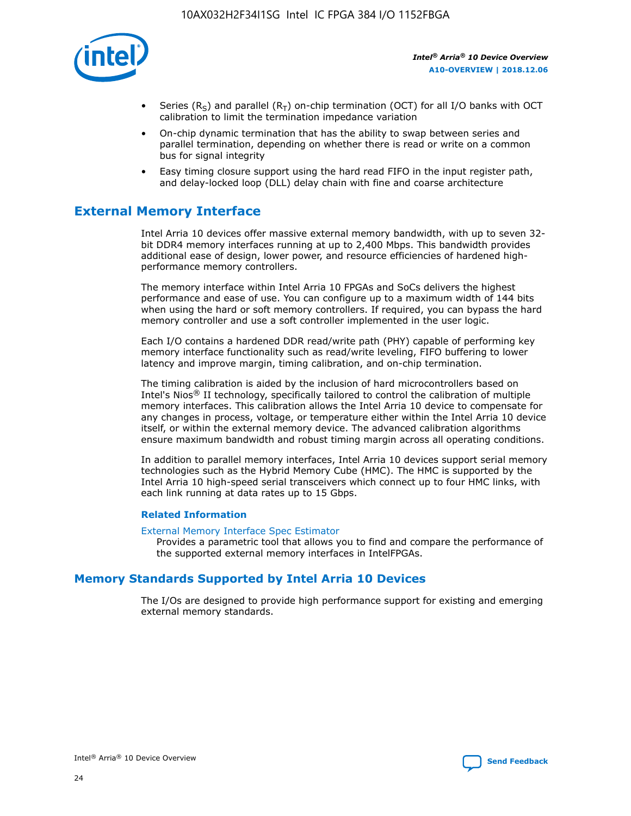

- Series (R<sub>S</sub>) and parallel (R<sub>T</sub>) on-chip termination (OCT) for all I/O banks with OCT calibration to limit the termination impedance variation
- On-chip dynamic termination that has the ability to swap between series and parallel termination, depending on whether there is read or write on a common bus for signal integrity
- Easy timing closure support using the hard read FIFO in the input register path, and delay-locked loop (DLL) delay chain with fine and coarse architecture

## **External Memory Interface**

Intel Arria 10 devices offer massive external memory bandwidth, with up to seven 32 bit DDR4 memory interfaces running at up to 2,400 Mbps. This bandwidth provides additional ease of design, lower power, and resource efficiencies of hardened highperformance memory controllers.

The memory interface within Intel Arria 10 FPGAs and SoCs delivers the highest performance and ease of use. You can configure up to a maximum width of 144 bits when using the hard or soft memory controllers. If required, you can bypass the hard memory controller and use a soft controller implemented in the user logic.

Each I/O contains a hardened DDR read/write path (PHY) capable of performing key memory interface functionality such as read/write leveling, FIFO buffering to lower latency and improve margin, timing calibration, and on-chip termination.

The timing calibration is aided by the inclusion of hard microcontrollers based on Intel's Nios® II technology, specifically tailored to control the calibration of multiple memory interfaces. This calibration allows the Intel Arria 10 device to compensate for any changes in process, voltage, or temperature either within the Intel Arria 10 device itself, or within the external memory device. The advanced calibration algorithms ensure maximum bandwidth and robust timing margin across all operating conditions.

In addition to parallel memory interfaces, Intel Arria 10 devices support serial memory technologies such as the Hybrid Memory Cube (HMC). The HMC is supported by the Intel Arria 10 high-speed serial transceivers which connect up to four HMC links, with each link running at data rates up to 15 Gbps.

## **Related Information**

#### [External Memory Interface Spec Estimator](http://www.altera.com/technology/memory/estimator/mem-emif-index.html)

Provides a parametric tool that allows you to find and compare the performance of the supported external memory interfaces in IntelFPGAs.

## **Memory Standards Supported by Intel Arria 10 Devices**

The I/Os are designed to provide high performance support for existing and emerging external memory standards.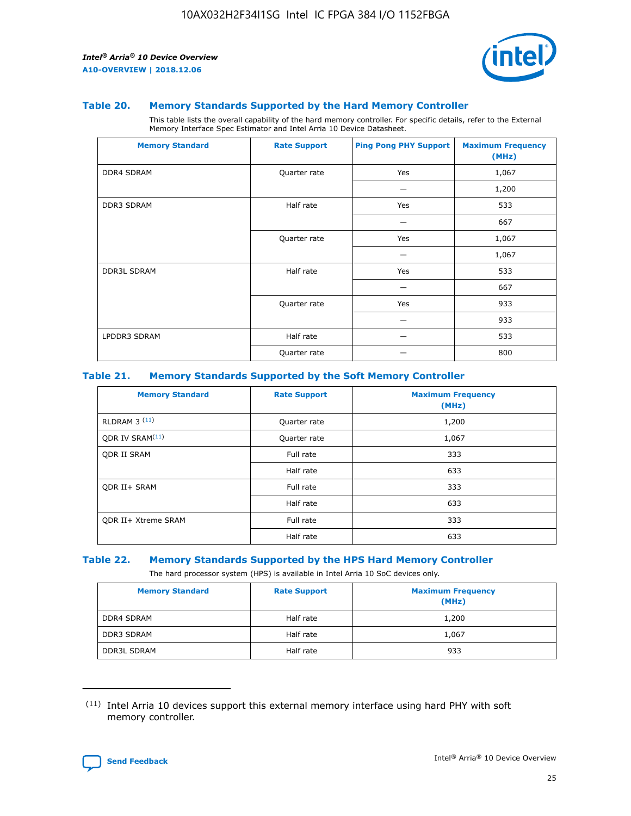

### **Table 20. Memory Standards Supported by the Hard Memory Controller**

This table lists the overall capability of the hard memory controller. For specific details, refer to the External Memory Interface Spec Estimator and Intel Arria 10 Device Datasheet.

| <b>Memory Standard</b> | <b>Rate Support</b> | <b>Ping Pong PHY Support</b> | <b>Maximum Frequency</b><br>(MHz) |
|------------------------|---------------------|------------------------------|-----------------------------------|
| <b>DDR4 SDRAM</b>      | Quarter rate        | Yes                          | 1,067                             |
|                        |                     |                              | 1,200                             |
| DDR3 SDRAM             | Half rate           | Yes                          | 533                               |
|                        |                     |                              | 667                               |
|                        | Quarter rate        | Yes                          | 1,067                             |
|                        |                     |                              | 1,067                             |
| <b>DDR3L SDRAM</b>     | Half rate           | Yes                          | 533                               |
|                        |                     |                              | 667                               |
|                        | Quarter rate        | Yes                          | 933                               |
|                        |                     |                              | 933                               |
| LPDDR3 SDRAM           | Half rate           |                              | 533                               |
|                        | Quarter rate        |                              | 800                               |

### **Table 21. Memory Standards Supported by the Soft Memory Controller**

| <b>Memory Standard</b>      | <b>Rate Support</b> | <b>Maximum Frequency</b><br>(MHz) |
|-----------------------------|---------------------|-----------------------------------|
| <b>RLDRAM 3 (11)</b>        | Quarter rate        | 1,200                             |
| ODR IV SRAM <sup>(11)</sup> | Quarter rate        | 1,067                             |
| <b>ODR II SRAM</b>          | Full rate           | 333                               |
|                             | Half rate           | 633                               |
| <b>ODR II+ SRAM</b>         | Full rate           | 333                               |
|                             | Half rate           | 633                               |
| <b>ODR II+ Xtreme SRAM</b>  | Full rate           | 333                               |
|                             | Half rate           | 633                               |

#### **Table 22. Memory Standards Supported by the HPS Hard Memory Controller**

The hard processor system (HPS) is available in Intel Arria 10 SoC devices only.

| <b>Memory Standard</b> | <b>Rate Support</b> | <b>Maximum Frequency</b><br>(MHz) |
|------------------------|---------------------|-----------------------------------|
| <b>DDR4 SDRAM</b>      | Half rate           | 1,200                             |
| <b>DDR3 SDRAM</b>      | Half rate           | 1,067                             |
| <b>DDR3L SDRAM</b>     | Half rate           | 933                               |

<sup>(11)</sup> Intel Arria 10 devices support this external memory interface using hard PHY with soft memory controller.

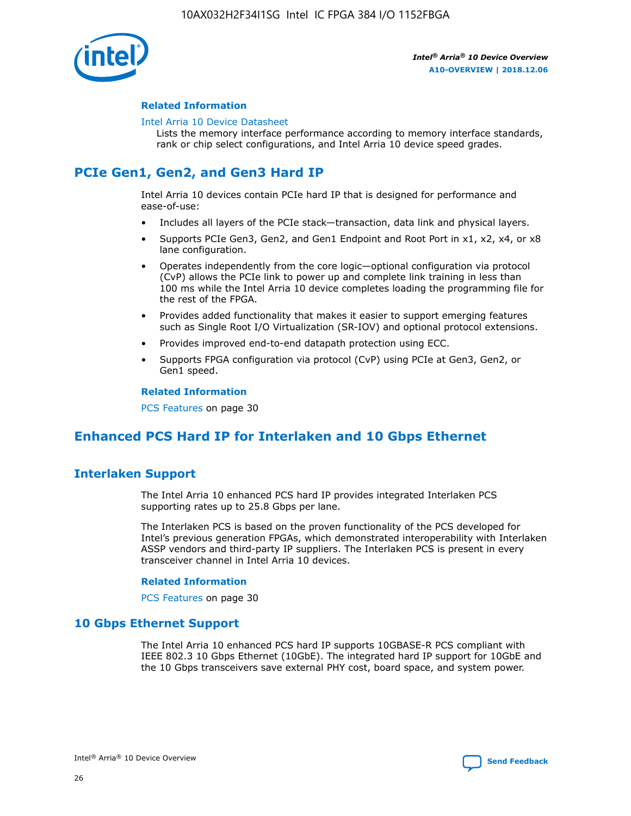

## **Related Information**

#### [Intel Arria 10 Device Datasheet](https://www.intel.com/content/www/us/en/programmable/documentation/mcn1413182292568.html#mcn1413182153340)

Lists the memory interface performance according to memory interface standards, rank or chip select configurations, and Intel Arria 10 device speed grades.

# **PCIe Gen1, Gen2, and Gen3 Hard IP**

Intel Arria 10 devices contain PCIe hard IP that is designed for performance and ease-of-use:

- Includes all layers of the PCIe stack—transaction, data link and physical layers.
- Supports PCIe Gen3, Gen2, and Gen1 Endpoint and Root Port in x1, x2, x4, or x8 lane configuration.
- Operates independently from the core logic—optional configuration via protocol (CvP) allows the PCIe link to power up and complete link training in less than 100 ms while the Intel Arria 10 device completes loading the programming file for the rest of the FPGA.
- Provides added functionality that makes it easier to support emerging features such as Single Root I/O Virtualization (SR-IOV) and optional protocol extensions.
- Provides improved end-to-end datapath protection using ECC.
- Supports FPGA configuration via protocol (CvP) using PCIe at Gen3, Gen2, or Gen1 speed.

#### **Related Information**

PCS Features on page 30

## **Enhanced PCS Hard IP for Interlaken and 10 Gbps Ethernet**

## **Interlaken Support**

The Intel Arria 10 enhanced PCS hard IP provides integrated Interlaken PCS supporting rates up to 25.8 Gbps per lane.

The Interlaken PCS is based on the proven functionality of the PCS developed for Intel's previous generation FPGAs, which demonstrated interoperability with Interlaken ASSP vendors and third-party IP suppliers. The Interlaken PCS is present in every transceiver channel in Intel Arria 10 devices.

## **Related Information**

PCS Features on page 30

## **10 Gbps Ethernet Support**

The Intel Arria 10 enhanced PCS hard IP supports 10GBASE-R PCS compliant with IEEE 802.3 10 Gbps Ethernet (10GbE). The integrated hard IP support for 10GbE and the 10 Gbps transceivers save external PHY cost, board space, and system power.

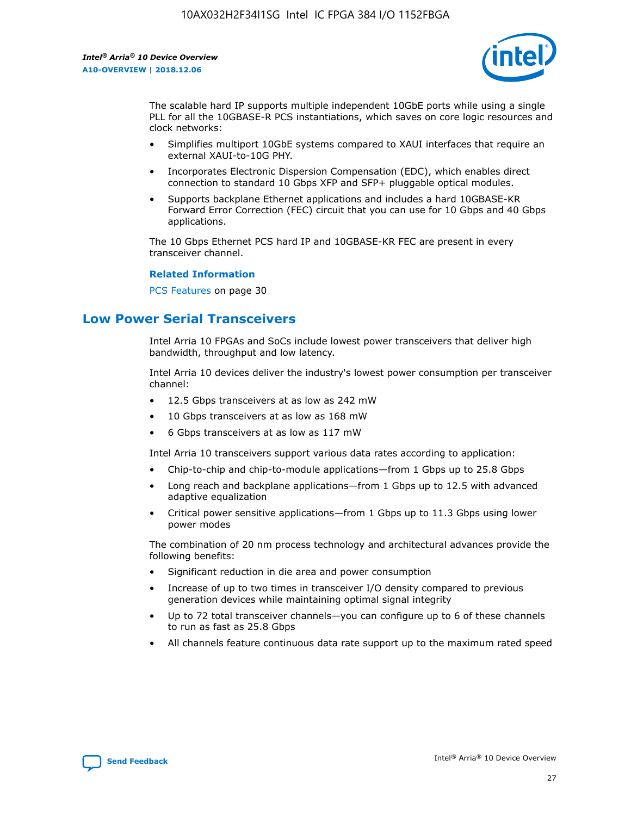

The scalable hard IP supports multiple independent 10GbE ports while using a single PLL for all the 10GBASE-R PCS instantiations, which saves on core logic resources and clock networks:

- Simplifies multiport 10GbE systems compared to XAUI interfaces that require an external XAUI-to-10G PHY.
- Incorporates Electronic Dispersion Compensation (EDC), which enables direct connection to standard 10 Gbps XFP and SFP+ pluggable optical modules.
- Supports backplane Ethernet applications and includes a hard 10GBASE-KR Forward Error Correction (FEC) circuit that you can use for 10 Gbps and 40 Gbps applications.

The 10 Gbps Ethernet PCS hard IP and 10GBASE-KR FEC are present in every transceiver channel.

## **Related Information**

PCS Features on page 30

## **Low Power Serial Transceivers**

Intel Arria 10 FPGAs and SoCs include lowest power transceivers that deliver high bandwidth, throughput and low latency.

Intel Arria 10 devices deliver the industry's lowest power consumption per transceiver channel:

- 12.5 Gbps transceivers at as low as 242 mW
- 10 Gbps transceivers at as low as 168 mW
- 6 Gbps transceivers at as low as 117 mW

Intel Arria 10 transceivers support various data rates according to application:

- Chip-to-chip and chip-to-module applications—from 1 Gbps up to 25.8 Gbps
- Long reach and backplane applications—from 1 Gbps up to 12.5 with advanced adaptive equalization
- Critical power sensitive applications—from 1 Gbps up to 11.3 Gbps using lower power modes

The combination of 20 nm process technology and architectural advances provide the following benefits:

- Significant reduction in die area and power consumption
- Increase of up to two times in transceiver I/O density compared to previous generation devices while maintaining optimal signal integrity
- Up to 72 total transceiver channels—you can configure up to 6 of these channels to run as fast as 25.8 Gbps
- All channels feature continuous data rate support up to the maximum rated speed

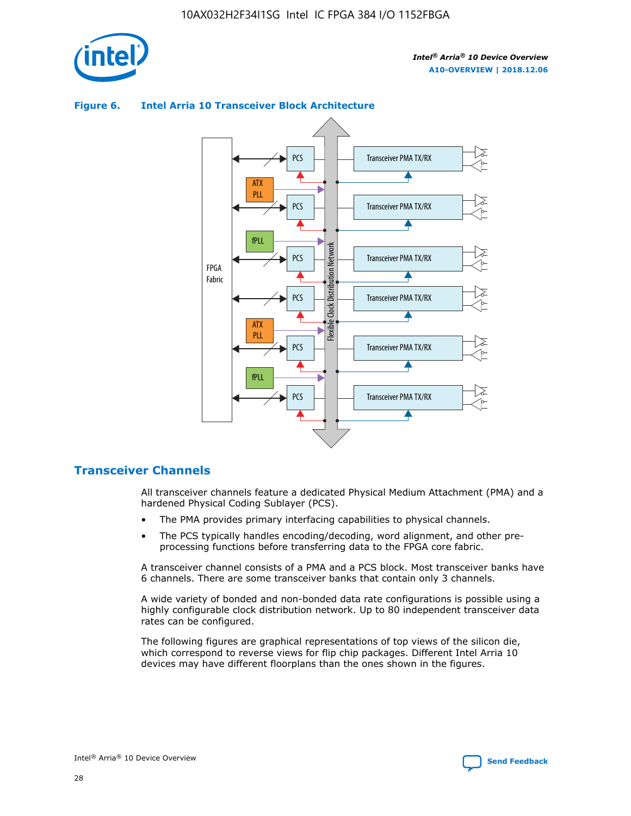





## **Transceiver Channels**

All transceiver channels feature a dedicated Physical Medium Attachment (PMA) and a hardened Physical Coding Sublayer (PCS).

- The PMA provides primary interfacing capabilities to physical channels.
- The PCS typically handles encoding/decoding, word alignment, and other preprocessing functions before transferring data to the FPGA core fabric.

A transceiver channel consists of a PMA and a PCS block. Most transceiver banks have 6 channels. There are some transceiver banks that contain only 3 channels.

A wide variety of bonded and non-bonded data rate configurations is possible using a highly configurable clock distribution network. Up to 80 independent transceiver data rates can be configured.

The following figures are graphical representations of top views of the silicon die, which correspond to reverse views for flip chip packages. Different Intel Arria 10 devices may have different floorplans than the ones shown in the figures.

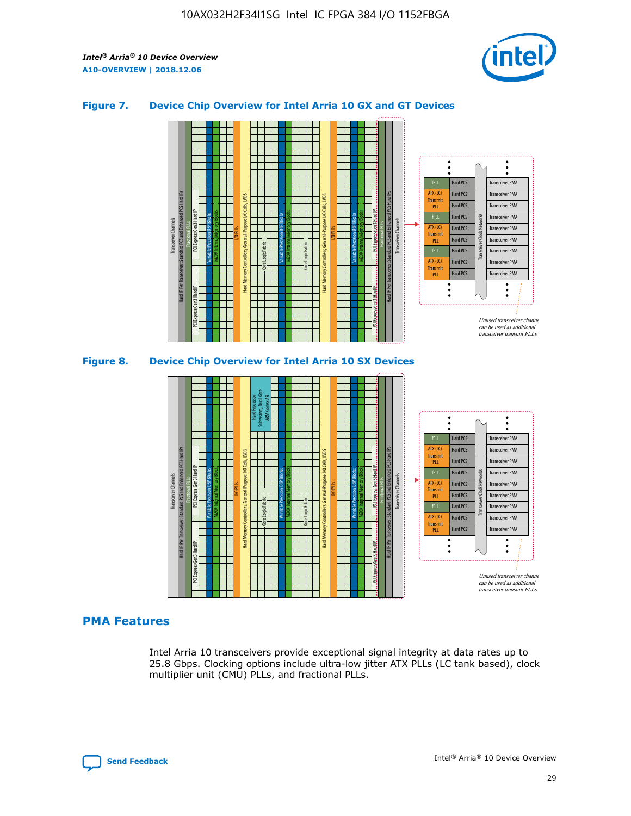

## **Figure 7. Device Chip Overview for Intel Arria 10 GX and GT Devices**



## **PMA Features**

Intel Arria 10 transceivers provide exceptional signal integrity at data rates up to 25.8 Gbps. Clocking options include ultra-low jitter ATX PLLs (LC tank based), clock multiplier unit (CMU) PLLs, and fractional PLLs.

Hard PCS Hard PCS Hard PCS Hard PCS Hard PCS

ATX (LC) Transmi PLL fPLL ATX (LC) **Transmit** PLL

Transceiver PMA Transceiver PMA Transceiver PMA Transceiver PMA

Transceiver Clock Networks

Transceiver PMA Transceiver PMA

Unused transceiver chann can be used as additional transceiver transmit PLLs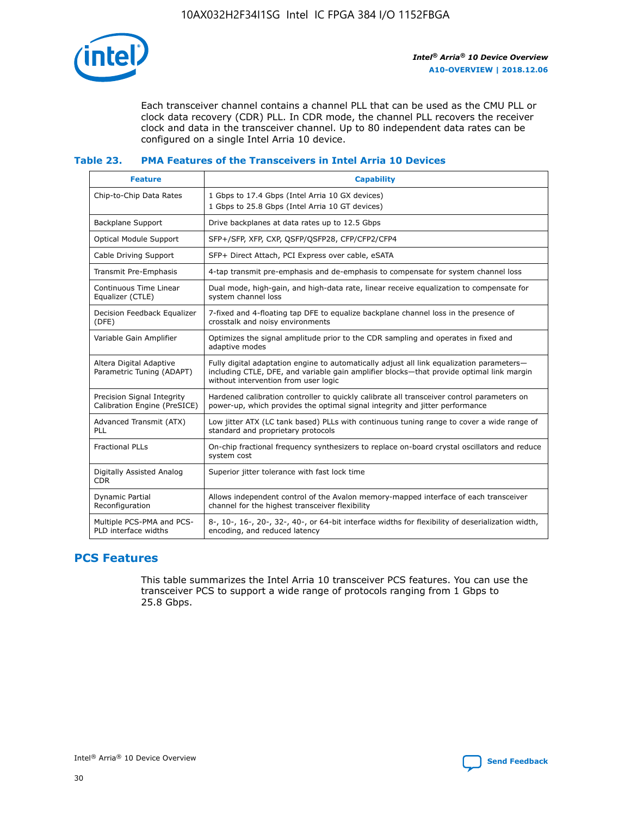

Each transceiver channel contains a channel PLL that can be used as the CMU PLL or clock data recovery (CDR) PLL. In CDR mode, the channel PLL recovers the receiver clock and data in the transceiver channel. Up to 80 independent data rates can be configured on a single Intel Arria 10 device.

## **Table 23. PMA Features of the Transceivers in Intel Arria 10 Devices**

| <b>Feature</b>                                             | <b>Capability</b>                                                                                                                                                                                                             |
|------------------------------------------------------------|-------------------------------------------------------------------------------------------------------------------------------------------------------------------------------------------------------------------------------|
| Chip-to-Chip Data Rates                                    | 1 Gbps to 17.4 Gbps (Intel Arria 10 GX devices)<br>1 Gbps to 25.8 Gbps (Intel Arria 10 GT devices)                                                                                                                            |
| <b>Backplane Support</b>                                   | Drive backplanes at data rates up to 12.5 Gbps                                                                                                                                                                                |
| <b>Optical Module Support</b>                              | SFP+/SFP, XFP, CXP, QSFP/QSFP28, CFP/CFP2/CFP4                                                                                                                                                                                |
| Cable Driving Support                                      | SFP+ Direct Attach, PCI Express over cable, eSATA                                                                                                                                                                             |
| Transmit Pre-Emphasis                                      | 4-tap transmit pre-emphasis and de-emphasis to compensate for system channel loss                                                                                                                                             |
| Continuous Time Linear<br>Equalizer (CTLE)                 | Dual mode, high-gain, and high-data rate, linear receive equalization to compensate for<br>system channel loss                                                                                                                |
| Decision Feedback Equalizer<br>(DFE)                       | 7-fixed and 4-floating tap DFE to equalize backplane channel loss in the presence of<br>crosstalk and noisy environments                                                                                                      |
| Variable Gain Amplifier                                    | Optimizes the signal amplitude prior to the CDR sampling and operates in fixed and<br>adaptive modes                                                                                                                          |
| Altera Digital Adaptive<br>Parametric Tuning (ADAPT)       | Fully digital adaptation engine to automatically adjust all link equalization parameters-<br>including CTLE, DFE, and variable gain amplifier blocks—that provide optimal link margin<br>without intervention from user logic |
| Precision Signal Integrity<br>Calibration Engine (PreSICE) | Hardened calibration controller to quickly calibrate all transceiver control parameters on<br>power-up, which provides the optimal signal integrity and jitter performance                                                    |
| Advanced Transmit (ATX)<br>PLL                             | Low jitter ATX (LC tank based) PLLs with continuous tuning range to cover a wide range of<br>standard and proprietary protocols                                                                                               |
| <b>Fractional PLLs</b>                                     | On-chip fractional frequency synthesizers to replace on-board crystal oscillators and reduce<br>system cost                                                                                                                   |
| Digitally Assisted Analog<br><b>CDR</b>                    | Superior jitter tolerance with fast lock time                                                                                                                                                                                 |
| Dynamic Partial<br>Reconfiguration                         | Allows independent control of the Avalon memory-mapped interface of each transceiver<br>channel for the highest transceiver flexibility                                                                                       |
| Multiple PCS-PMA and PCS-<br>PLD interface widths          | 8-, 10-, 16-, 20-, 32-, 40-, or 64-bit interface widths for flexibility of deserialization width,<br>encoding, and reduced latency                                                                                            |

## **PCS Features**

This table summarizes the Intel Arria 10 transceiver PCS features. You can use the transceiver PCS to support a wide range of protocols ranging from 1 Gbps to 25.8 Gbps.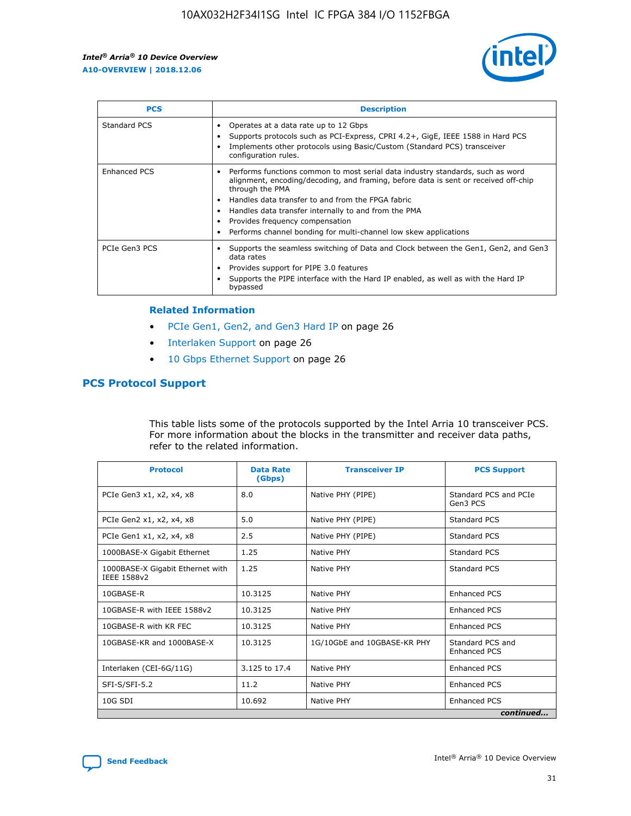

| <b>PCS</b>    | <b>Description</b>                                                                                                                                                                                                                                                                                                                                                                                             |
|---------------|----------------------------------------------------------------------------------------------------------------------------------------------------------------------------------------------------------------------------------------------------------------------------------------------------------------------------------------------------------------------------------------------------------------|
| Standard PCS  | Operates at a data rate up to 12 Gbps<br>Supports protocols such as PCI-Express, CPRI 4.2+, GigE, IEEE 1588 in Hard PCS<br>Implements other protocols using Basic/Custom (Standard PCS) transceiver<br>configuration rules.                                                                                                                                                                                    |
| Enhanced PCS  | Performs functions common to most serial data industry standards, such as word<br>alignment, encoding/decoding, and framing, before data is sent or received off-chip<br>through the PMA<br>• Handles data transfer to and from the FPGA fabric<br>Handles data transfer internally to and from the PMA<br>Provides frequency compensation<br>Performs channel bonding for multi-channel low skew applications |
| PCIe Gen3 PCS | Supports the seamless switching of Data and Clock between the Gen1, Gen2, and Gen3<br>data rates<br>Provides support for PIPE 3.0 features<br>Supports the PIPE interface with the Hard IP enabled, as well as with the Hard IP<br>bypassed                                                                                                                                                                    |

#### **Related Information**

- PCIe Gen1, Gen2, and Gen3 Hard IP on page 26
- Interlaken Support on page 26
- 10 Gbps Ethernet Support on page 26

## **PCS Protocol Support**

This table lists some of the protocols supported by the Intel Arria 10 transceiver PCS. For more information about the blocks in the transmitter and receiver data paths, refer to the related information.

| <b>Protocol</b>                                 | <b>Data Rate</b><br>(Gbps) | <b>Transceiver IP</b>       | <b>PCS Support</b>                      |
|-------------------------------------------------|----------------------------|-----------------------------|-----------------------------------------|
| PCIe Gen3 x1, x2, x4, x8                        | 8.0                        | Native PHY (PIPE)           | Standard PCS and PCIe<br>Gen3 PCS       |
| PCIe Gen2 x1, x2, x4, x8                        | 5.0                        | Native PHY (PIPE)           | <b>Standard PCS</b>                     |
| PCIe Gen1 x1, x2, x4, x8                        | 2.5                        | Native PHY (PIPE)           | Standard PCS                            |
| 1000BASE-X Gigabit Ethernet                     | 1.25                       | Native PHY                  | <b>Standard PCS</b>                     |
| 1000BASE-X Gigabit Ethernet with<br>IEEE 1588v2 | 1.25                       | Native PHY                  | Standard PCS                            |
| 10GBASE-R                                       | 10.3125                    | Native PHY                  | <b>Enhanced PCS</b>                     |
| 10GBASE-R with IEEE 1588v2                      | 10.3125                    | Native PHY                  | <b>Enhanced PCS</b>                     |
| 10GBASE-R with KR FEC                           | 10.3125                    | Native PHY                  | <b>Enhanced PCS</b>                     |
| 10GBASE-KR and 1000BASE-X                       | 10.3125                    | 1G/10GbE and 10GBASE-KR PHY | Standard PCS and<br><b>Enhanced PCS</b> |
| Interlaken (CEI-6G/11G)                         | 3.125 to 17.4              | Native PHY                  | <b>Enhanced PCS</b>                     |
| SFI-S/SFI-5.2                                   | 11.2                       | Native PHY                  | <b>Enhanced PCS</b>                     |
| $10G$ SDI                                       | 10.692                     | Native PHY                  | <b>Enhanced PCS</b>                     |
|                                                 |                            |                             | continued                               |

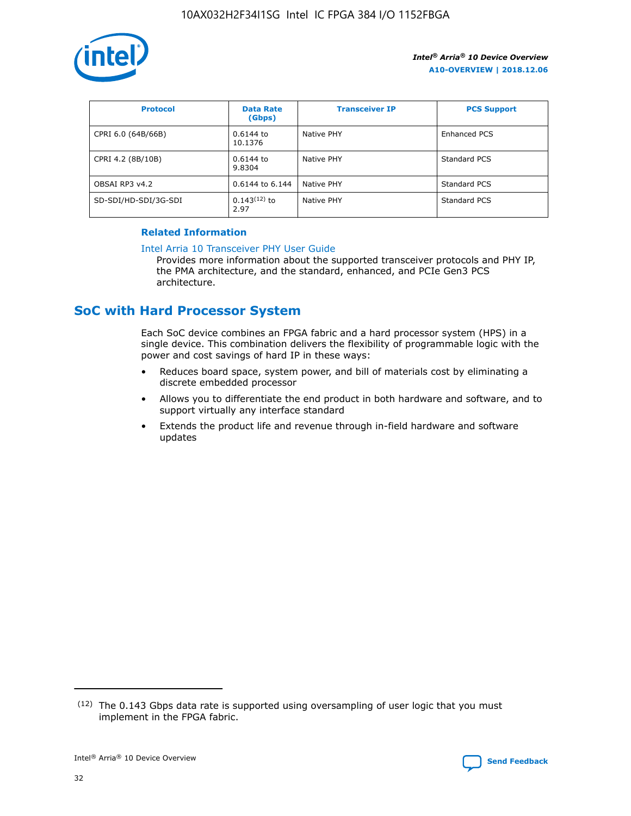

| <b>Protocol</b>      | <b>Data Rate</b><br>(Gbps) | <b>Transceiver IP</b> | <b>PCS Support</b> |
|----------------------|----------------------------|-----------------------|--------------------|
| CPRI 6.0 (64B/66B)   | 0.6144 to<br>10.1376       | Native PHY            | Enhanced PCS       |
| CPRI 4.2 (8B/10B)    | 0.6144 to<br>9.8304        | Native PHY            | Standard PCS       |
| OBSAI RP3 v4.2       | 0.6144 to 6.144            | Native PHY            | Standard PCS       |
| SD-SDI/HD-SDI/3G-SDI | $0.143(12)$ to<br>2.97     | Native PHY            | Standard PCS       |

## **Related Information**

#### [Intel Arria 10 Transceiver PHY User Guide](https://www.intel.com/content/www/us/en/programmable/documentation/nik1398707230472.html#nik1398707091164)

Provides more information about the supported transceiver protocols and PHY IP, the PMA architecture, and the standard, enhanced, and PCIe Gen3 PCS architecture.

## **SoC with Hard Processor System**

Each SoC device combines an FPGA fabric and a hard processor system (HPS) in a single device. This combination delivers the flexibility of programmable logic with the power and cost savings of hard IP in these ways:

- Reduces board space, system power, and bill of materials cost by eliminating a discrete embedded processor
- Allows you to differentiate the end product in both hardware and software, and to support virtually any interface standard
- Extends the product life and revenue through in-field hardware and software updates

 $(12)$  The 0.143 Gbps data rate is supported using oversampling of user logic that you must implement in the FPGA fabric.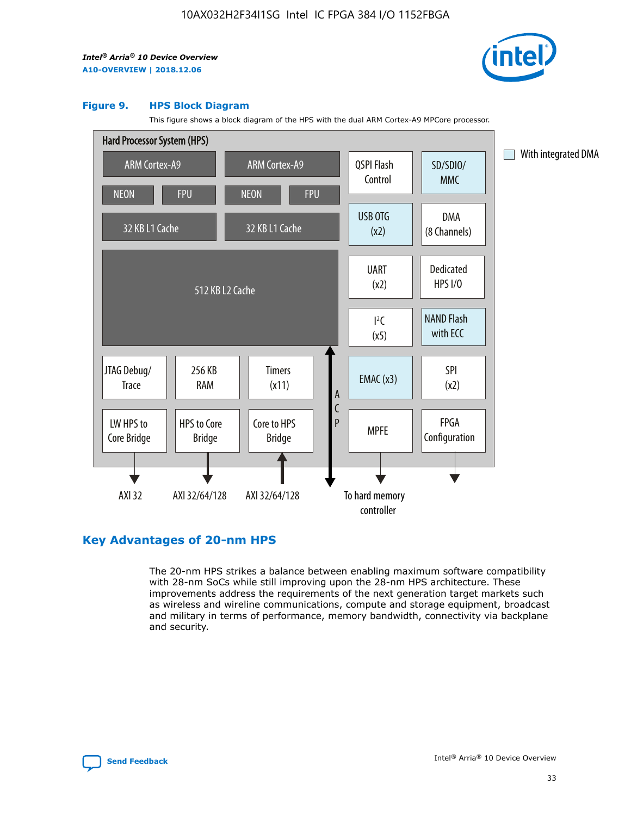

### **Figure 9. HPS Block Diagram**

This figure shows a block diagram of the HPS with the dual ARM Cortex-A9 MPCore processor.



## **Key Advantages of 20-nm HPS**

The 20-nm HPS strikes a balance between enabling maximum software compatibility with 28-nm SoCs while still improving upon the 28-nm HPS architecture. These improvements address the requirements of the next generation target markets such as wireless and wireline communications, compute and storage equipment, broadcast and military in terms of performance, memory bandwidth, connectivity via backplane and security.

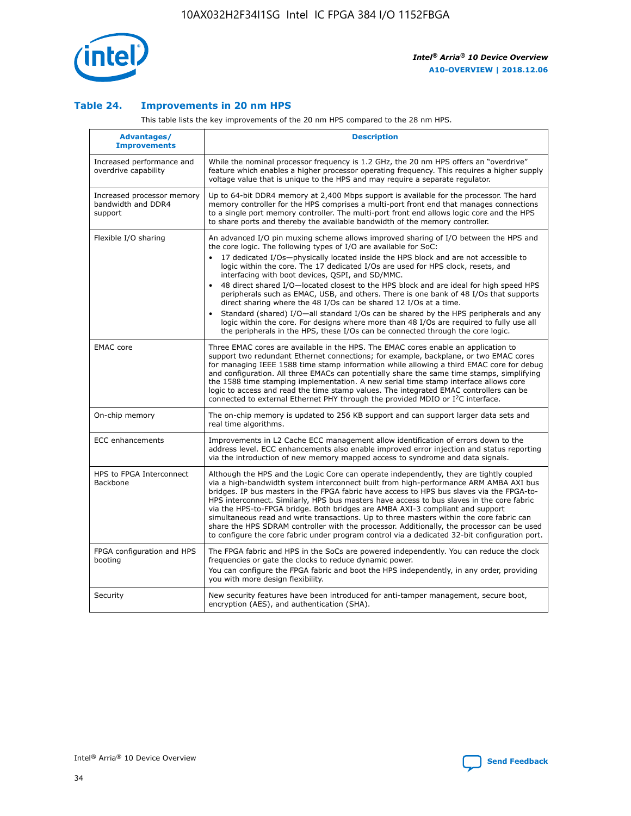

## **Table 24. Improvements in 20 nm HPS**

This table lists the key improvements of the 20 nm HPS compared to the 28 nm HPS.

| Advantages/<br><b>Improvements</b>                          | <b>Description</b>                                                                                                                                                                                                                                                                                                                                                                                                                                                                                                                                                                                                                                                                                                                                                                                                                                                                                                      |
|-------------------------------------------------------------|-------------------------------------------------------------------------------------------------------------------------------------------------------------------------------------------------------------------------------------------------------------------------------------------------------------------------------------------------------------------------------------------------------------------------------------------------------------------------------------------------------------------------------------------------------------------------------------------------------------------------------------------------------------------------------------------------------------------------------------------------------------------------------------------------------------------------------------------------------------------------------------------------------------------------|
| Increased performance and<br>overdrive capability           | While the nominal processor frequency is 1.2 GHz, the 20 nm HPS offers an "overdrive"<br>feature which enables a higher processor operating frequency. This requires a higher supply<br>voltage value that is unique to the HPS and may require a separate regulator.                                                                                                                                                                                                                                                                                                                                                                                                                                                                                                                                                                                                                                                   |
| Increased processor memory<br>bandwidth and DDR4<br>support | Up to 64-bit DDR4 memory at 2,400 Mbps support is available for the processor. The hard<br>memory controller for the HPS comprises a multi-port front end that manages connections<br>to a single port memory controller. The multi-port front end allows logic core and the HPS<br>to share ports and thereby the available bandwidth of the memory controller.                                                                                                                                                                                                                                                                                                                                                                                                                                                                                                                                                        |
| Flexible I/O sharing                                        | An advanced I/O pin muxing scheme allows improved sharing of I/O between the HPS and<br>the core logic. The following types of I/O are available for SoC:<br>17 dedicated I/Os-physically located inside the HPS block and are not accessible to<br>logic within the core. The 17 dedicated I/Os are used for HPS clock, resets, and<br>interfacing with boot devices, QSPI, and SD/MMC.<br>48 direct shared I/O-located closest to the HPS block and are ideal for high speed HPS<br>peripherals such as EMAC, USB, and others. There is one bank of 48 I/Os that supports<br>direct sharing where the 48 I/Os can be shared 12 I/Os at a time.<br>Standard (shared) I/O—all standard I/Os can be shared by the HPS peripherals and any<br>logic within the core. For designs where more than 48 I/Os are required to fully use all<br>the peripherals in the HPS, these I/Os can be connected through the core logic. |
| <b>EMAC</b> core                                            | Three EMAC cores are available in the HPS. The EMAC cores enable an application to<br>support two redundant Ethernet connections; for example, backplane, or two EMAC cores<br>for managing IEEE 1588 time stamp information while allowing a third EMAC core for debug<br>and configuration. All three EMACs can potentially share the same time stamps, simplifying<br>the 1588 time stamping implementation. A new serial time stamp interface allows core<br>logic to access and read the time stamp values. The integrated EMAC controllers can be<br>connected to external Ethernet PHY through the provided MDIO or I <sup>2</sup> C interface.                                                                                                                                                                                                                                                                  |
| On-chip memory                                              | The on-chip memory is updated to 256 KB support and can support larger data sets and<br>real time algorithms.                                                                                                                                                                                                                                                                                                                                                                                                                                                                                                                                                                                                                                                                                                                                                                                                           |
| ECC enhancements                                            | Improvements in L2 Cache ECC management allow identification of errors down to the<br>address level. ECC enhancements also enable improved error injection and status reporting<br>via the introduction of new memory mapped access to syndrome and data signals.                                                                                                                                                                                                                                                                                                                                                                                                                                                                                                                                                                                                                                                       |
| HPS to FPGA Interconnect<br>Backbone                        | Although the HPS and the Logic Core can operate independently, they are tightly coupled<br>via a high-bandwidth system interconnect built from high-performance ARM AMBA AXI bus<br>bridges. IP bus masters in the FPGA fabric have access to HPS bus slaves via the FPGA-to-<br>HPS interconnect. Similarly, HPS bus masters have access to bus slaves in the core fabric<br>via the HPS-to-FPGA bridge. Both bridges are AMBA AXI-3 compliant and support<br>simultaneous read and write transactions. Up to three masters within the core fabric can<br>share the HPS SDRAM controller with the processor. Additionally, the processor can be used<br>to configure the core fabric under program control via a dedicated 32-bit configuration port.                                                                                                                                                                  |
| FPGA configuration and HPS<br>booting                       | The FPGA fabric and HPS in the SoCs are powered independently. You can reduce the clock<br>frequencies or gate the clocks to reduce dynamic power.<br>You can configure the FPGA fabric and boot the HPS independently, in any order, providing<br>you with more design flexibility.                                                                                                                                                                                                                                                                                                                                                                                                                                                                                                                                                                                                                                    |
| Security                                                    | New security features have been introduced for anti-tamper management, secure boot,<br>encryption (AES), and authentication (SHA).                                                                                                                                                                                                                                                                                                                                                                                                                                                                                                                                                                                                                                                                                                                                                                                      |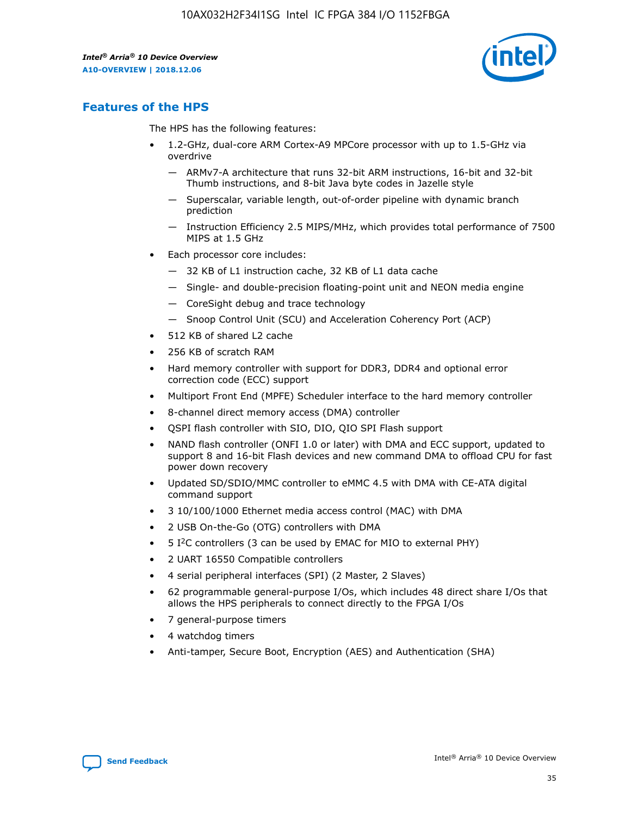

## **Features of the HPS**

The HPS has the following features:

- 1.2-GHz, dual-core ARM Cortex-A9 MPCore processor with up to 1.5-GHz via overdrive
	- ARMv7-A architecture that runs 32-bit ARM instructions, 16-bit and 32-bit Thumb instructions, and 8-bit Java byte codes in Jazelle style
	- Superscalar, variable length, out-of-order pipeline with dynamic branch prediction
	- Instruction Efficiency 2.5 MIPS/MHz, which provides total performance of 7500 MIPS at 1.5 GHz
- Each processor core includes:
	- 32 KB of L1 instruction cache, 32 KB of L1 data cache
	- Single- and double-precision floating-point unit and NEON media engine
	- CoreSight debug and trace technology
	- Snoop Control Unit (SCU) and Acceleration Coherency Port (ACP)
- 512 KB of shared L2 cache
- 256 KB of scratch RAM
- Hard memory controller with support for DDR3, DDR4 and optional error correction code (ECC) support
- Multiport Front End (MPFE) Scheduler interface to the hard memory controller
- 8-channel direct memory access (DMA) controller
- QSPI flash controller with SIO, DIO, QIO SPI Flash support
- NAND flash controller (ONFI 1.0 or later) with DMA and ECC support, updated to support 8 and 16-bit Flash devices and new command DMA to offload CPU for fast power down recovery
- Updated SD/SDIO/MMC controller to eMMC 4.5 with DMA with CE-ATA digital command support
- 3 10/100/1000 Ethernet media access control (MAC) with DMA
- 2 USB On-the-Go (OTG) controllers with DMA
- $\bullet$  5 I<sup>2</sup>C controllers (3 can be used by EMAC for MIO to external PHY)
- 2 UART 16550 Compatible controllers
- 4 serial peripheral interfaces (SPI) (2 Master, 2 Slaves)
- 62 programmable general-purpose I/Os, which includes 48 direct share I/Os that allows the HPS peripherals to connect directly to the FPGA I/Os
- 7 general-purpose timers
- 4 watchdog timers
- Anti-tamper, Secure Boot, Encryption (AES) and Authentication (SHA)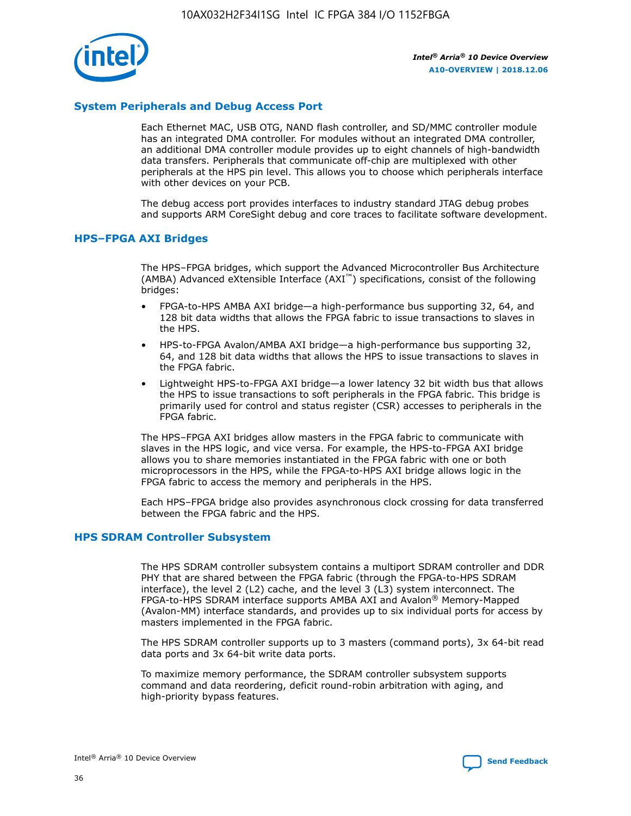

## **System Peripherals and Debug Access Port**

Each Ethernet MAC, USB OTG, NAND flash controller, and SD/MMC controller module has an integrated DMA controller. For modules without an integrated DMA controller, an additional DMA controller module provides up to eight channels of high-bandwidth data transfers. Peripherals that communicate off-chip are multiplexed with other peripherals at the HPS pin level. This allows you to choose which peripherals interface with other devices on your PCB.

The debug access port provides interfaces to industry standard JTAG debug probes and supports ARM CoreSight debug and core traces to facilitate software development.

### **HPS–FPGA AXI Bridges**

The HPS–FPGA bridges, which support the Advanced Microcontroller Bus Architecture (AMBA) Advanced eXtensible Interface (AXI™) specifications, consist of the following bridges:

- FPGA-to-HPS AMBA AXI bridge—a high-performance bus supporting 32, 64, and 128 bit data widths that allows the FPGA fabric to issue transactions to slaves in the HPS.
- HPS-to-FPGA Avalon/AMBA AXI bridge—a high-performance bus supporting 32, 64, and 128 bit data widths that allows the HPS to issue transactions to slaves in the FPGA fabric.
- Lightweight HPS-to-FPGA AXI bridge—a lower latency 32 bit width bus that allows the HPS to issue transactions to soft peripherals in the FPGA fabric. This bridge is primarily used for control and status register (CSR) accesses to peripherals in the FPGA fabric.

The HPS–FPGA AXI bridges allow masters in the FPGA fabric to communicate with slaves in the HPS logic, and vice versa. For example, the HPS-to-FPGA AXI bridge allows you to share memories instantiated in the FPGA fabric with one or both microprocessors in the HPS, while the FPGA-to-HPS AXI bridge allows logic in the FPGA fabric to access the memory and peripherals in the HPS.

Each HPS–FPGA bridge also provides asynchronous clock crossing for data transferred between the FPGA fabric and the HPS.

#### **HPS SDRAM Controller Subsystem**

The HPS SDRAM controller subsystem contains a multiport SDRAM controller and DDR PHY that are shared between the FPGA fabric (through the FPGA-to-HPS SDRAM interface), the level 2 (L2) cache, and the level 3 (L3) system interconnect. The FPGA-to-HPS SDRAM interface supports AMBA AXI and Avalon® Memory-Mapped (Avalon-MM) interface standards, and provides up to six individual ports for access by masters implemented in the FPGA fabric.

The HPS SDRAM controller supports up to 3 masters (command ports), 3x 64-bit read data ports and 3x 64-bit write data ports.

To maximize memory performance, the SDRAM controller subsystem supports command and data reordering, deficit round-robin arbitration with aging, and high-priority bypass features.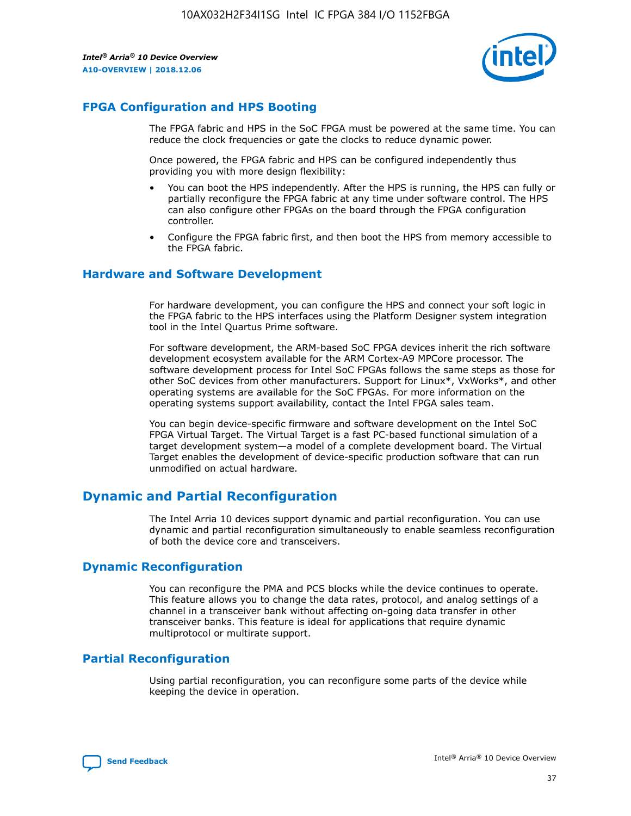

## **FPGA Configuration and HPS Booting**

The FPGA fabric and HPS in the SoC FPGA must be powered at the same time. You can reduce the clock frequencies or gate the clocks to reduce dynamic power.

Once powered, the FPGA fabric and HPS can be configured independently thus providing you with more design flexibility:

- You can boot the HPS independently. After the HPS is running, the HPS can fully or partially reconfigure the FPGA fabric at any time under software control. The HPS can also configure other FPGAs on the board through the FPGA configuration controller.
- Configure the FPGA fabric first, and then boot the HPS from memory accessible to the FPGA fabric.

## **Hardware and Software Development**

For hardware development, you can configure the HPS and connect your soft logic in the FPGA fabric to the HPS interfaces using the Platform Designer system integration tool in the Intel Quartus Prime software.

For software development, the ARM-based SoC FPGA devices inherit the rich software development ecosystem available for the ARM Cortex-A9 MPCore processor. The software development process for Intel SoC FPGAs follows the same steps as those for other SoC devices from other manufacturers. Support for Linux\*, VxWorks\*, and other operating systems are available for the SoC FPGAs. For more information on the operating systems support availability, contact the Intel FPGA sales team.

You can begin device-specific firmware and software development on the Intel SoC FPGA Virtual Target. The Virtual Target is a fast PC-based functional simulation of a target development system—a model of a complete development board. The Virtual Target enables the development of device-specific production software that can run unmodified on actual hardware.

## **Dynamic and Partial Reconfiguration**

The Intel Arria 10 devices support dynamic and partial reconfiguration. You can use dynamic and partial reconfiguration simultaneously to enable seamless reconfiguration of both the device core and transceivers.

## **Dynamic Reconfiguration**

You can reconfigure the PMA and PCS blocks while the device continues to operate. This feature allows you to change the data rates, protocol, and analog settings of a channel in a transceiver bank without affecting on-going data transfer in other transceiver banks. This feature is ideal for applications that require dynamic multiprotocol or multirate support.

## **Partial Reconfiguration**

Using partial reconfiguration, you can reconfigure some parts of the device while keeping the device in operation.

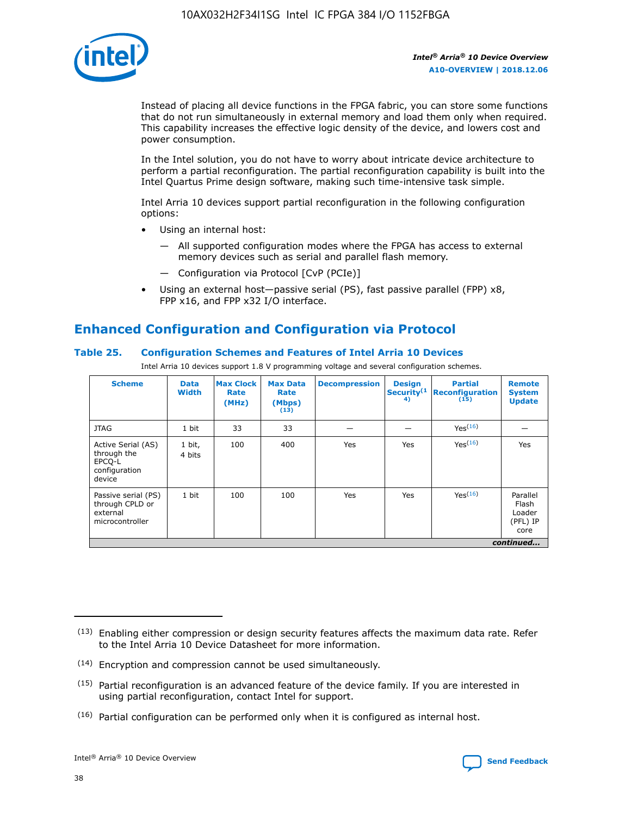

Instead of placing all device functions in the FPGA fabric, you can store some functions that do not run simultaneously in external memory and load them only when required. This capability increases the effective logic density of the device, and lowers cost and power consumption.

In the Intel solution, you do not have to worry about intricate device architecture to perform a partial reconfiguration. The partial reconfiguration capability is built into the Intel Quartus Prime design software, making such time-intensive task simple.

Intel Arria 10 devices support partial reconfiguration in the following configuration options:

- Using an internal host:
	- All supported configuration modes where the FPGA has access to external memory devices such as serial and parallel flash memory.
	- Configuration via Protocol [CvP (PCIe)]
- Using an external host—passive serial (PS), fast passive parallel (FPP) x8, FPP x16, and FPP x32 I/O interface.

# **Enhanced Configuration and Configuration via Protocol**

## **Table 25. Configuration Schemes and Features of Intel Arria 10 Devices**

Intel Arria 10 devices support 1.8 V programming voltage and several configuration schemes.

| <b>Scheme</b>                                                          | <b>Data</b><br><b>Width</b> | <b>Max Clock</b><br>Rate<br>(MHz) | <b>Max Data</b><br>Rate<br>(Mbps)<br>(13) | <b>Decompression</b> | <b>Design</b><br>Security <sup>(1</sup><br>4) | <b>Partial</b><br>Reconfiguration<br>(15) | <b>Remote</b><br><b>System</b><br><b>Update</b> |
|------------------------------------------------------------------------|-----------------------------|-----------------------------------|-------------------------------------------|----------------------|-----------------------------------------------|-------------------------------------------|-------------------------------------------------|
| <b>JTAG</b>                                                            | 1 bit                       | 33                                | 33                                        |                      |                                               | Yes <sup>(16)</sup>                       |                                                 |
| Active Serial (AS)<br>through the<br>EPCO-L<br>configuration<br>device | 1 bit,<br>4 bits            | 100                               | 400                                       | Yes                  | Yes                                           | $Y_{PS}(16)$                              | Yes                                             |
| Passive serial (PS)<br>through CPLD or<br>external<br>microcontroller  | 1 bit                       | 100                               | 100                                       | Yes                  | Yes                                           | Yes(16)                                   | Parallel<br>Flash<br>Loader<br>(PFL) IP<br>core |
|                                                                        |                             |                                   |                                           |                      |                                               |                                           | continued                                       |

<sup>(13)</sup> Enabling either compression or design security features affects the maximum data rate. Refer to the Intel Arria 10 Device Datasheet for more information.

<sup>(14)</sup> Encryption and compression cannot be used simultaneously.

 $(15)$  Partial reconfiguration is an advanced feature of the device family. If you are interested in using partial reconfiguration, contact Intel for support.

 $(16)$  Partial configuration can be performed only when it is configured as internal host.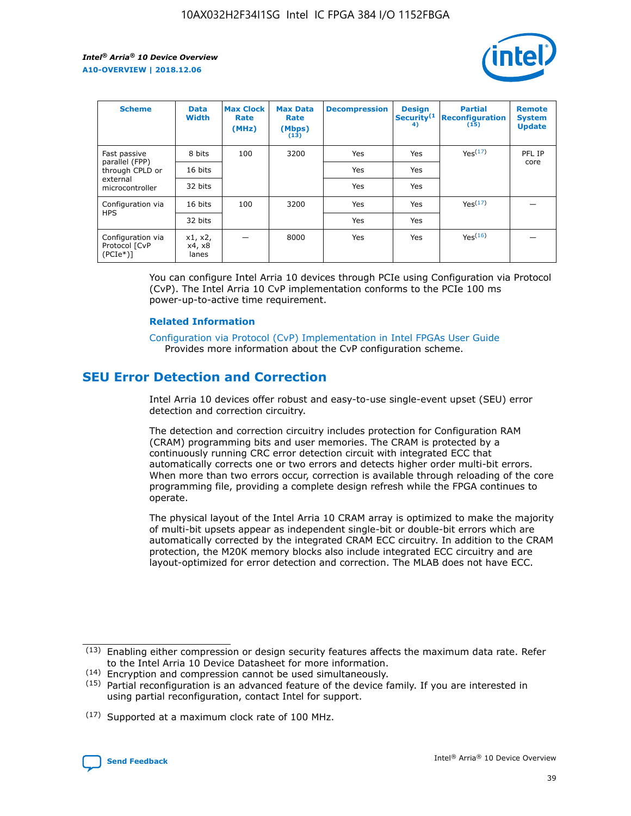

| <b>Scheme</b>                                   | <b>Data</b><br><b>Width</b> | <b>Max Clock</b><br>Rate<br>(MHz) | <b>Max Data</b><br>Rate<br>(Mbps)<br>(13) | <b>Decompression</b> | <b>Design</b><br>Security <sup>(1</sup><br>4) | <b>Partial</b><br><b>Reconfiguration</b><br>(15) | <b>Remote</b><br><b>System</b><br><b>Update</b> |
|-------------------------------------------------|-----------------------------|-----------------------------------|-------------------------------------------|----------------------|-----------------------------------------------|--------------------------------------------------|-------------------------------------------------|
| Fast passive                                    | 8 bits                      | 100                               | 3200                                      | Yes                  | Yes                                           | Yes(17)                                          | PFL IP                                          |
| parallel (FPP)<br>through CPLD or               | 16 bits                     |                                   |                                           | Yes                  | Yes                                           |                                                  | core                                            |
| external<br>microcontroller                     | 32 bits                     |                                   |                                           | Yes                  | Yes                                           |                                                  |                                                 |
| Configuration via                               | 16 bits                     | 100                               | 3200                                      | Yes                  | Yes                                           | Yes <sup>(17)</sup>                              |                                                 |
| <b>HPS</b>                                      | 32 bits                     |                                   |                                           | Yes                  | Yes                                           |                                                  |                                                 |
| Configuration via<br>Protocol [CvP<br>$(PCIe*)$ | x1, x2,<br>x4, x8<br>lanes  |                                   | 8000                                      | Yes                  | Yes                                           | Yes <sup>(16)</sup>                              |                                                 |

You can configure Intel Arria 10 devices through PCIe using Configuration via Protocol (CvP). The Intel Arria 10 CvP implementation conforms to the PCIe 100 ms power-up-to-active time requirement.

#### **Related Information**

[Configuration via Protocol \(CvP\) Implementation in Intel FPGAs User Guide](https://www.intel.com/content/www/us/en/programmable/documentation/dsu1441819344145.html#dsu1442269728522) Provides more information about the CvP configuration scheme.

## **SEU Error Detection and Correction**

Intel Arria 10 devices offer robust and easy-to-use single-event upset (SEU) error detection and correction circuitry.

The detection and correction circuitry includes protection for Configuration RAM (CRAM) programming bits and user memories. The CRAM is protected by a continuously running CRC error detection circuit with integrated ECC that automatically corrects one or two errors and detects higher order multi-bit errors. When more than two errors occur, correction is available through reloading of the core programming file, providing a complete design refresh while the FPGA continues to operate.

The physical layout of the Intel Arria 10 CRAM array is optimized to make the majority of multi-bit upsets appear as independent single-bit or double-bit errors which are automatically corrected by the integrated CRAM ECC circuitry. In addition to the CRAM protection, the M20K memory blocks also include integrated ECC circuitry and are layout-optimized for error detection and correction. The MLAB does not have ECC.

(14) Encryption and compression cannot be used simultaneously.

<sup>(17)</sup> Supported at a maximum clock rate of 100 MHz.



 $(13)$  Enabling either compression or design security features affects the maximum data rate. Refer to the Intel Arria 10 Device Datasheet for more information.

 $(15)$  Partial reconfiguration is an advanced feature of the device family. If you are interested in using partial reconfiguration, contact Intel for support.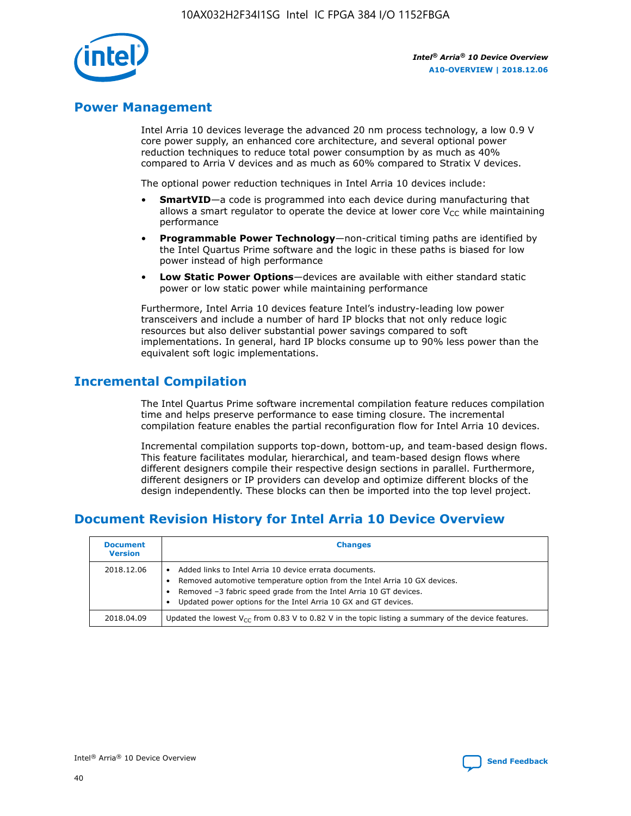

## **Power Management**

Intel Arria 10 devices leverage the advanced 20 nm process technology, a low 0.9 V core power supply, an enhanced core architecture, and several optional power reduction techniques to reduce total power consumption by as much as 40% compared to Arria V devices and as much as 60% compared to Stratix V devices.

The optional power reduction techniques in Intel Arria 10 devices include:

- **SmartVID**—a code is programmed into each device during manufacturing that allows a smart regulator to operate the device at lower core  $V_{CC}$  while maintaining performance
- **Programmable Power Technology**—non-critical timing paths are identified by the Intel Quartus Prime software and the logic in these paths is biased for low power instead of high performance
- **Low Static Power Options**—devices are available with either standard static power or low static power while maintaining performance

Furthermore, Intel Arria 10 devices feature Intel's industry-leading low power transceivers and include a number of hard IP blocks that not only reduce logic resources but also deliver substantial power savings compared to soft implementations. In general, hard IP blocks consume up to 90% less power than the equivalent soft logic implementations.

## **Incremental Compilation**

The Intel Quartus Prime software incremental compilation feature reduces compilation time and helps preserve performance to ease timing closure. The incremental compilation feature enables the partial reconfiguration flow for Intel Arria 10 devices.

Incremental compilation supports top-down, bottom-up, and team-based design flows. This feature facilitates modular, hierarchical, and team-based design flows where different designers compile their respective design sections in parallel. Furthermore, different designers or IP providers can develop and optimize different blocks of the design independently. These blocks can then be imported into the top level project.

# **Document Revision History for Intel Arria 10 Device Overview**

| <b>Document</b><br><b>Version</b> | <b>Changes</b>                                                                                                                                                                                                                                                              |
|-----------------------------------|-----------------------------------------------------------------------------------------------------------------------------------------------------------------------------------------------------------------------------------------------------------------------------|
| 2018.12.06                        | Added links to Intel Arria 10 device errata documents.<br>Removed automotive temperature option from the Intel Arria 10 GX devices.<br>Removed -3 fabric speed grade from the Intel Arria 10 GT devices.<br>Updated power options for the Intel Arria 10 GX and GT devices. |
| 2018.04.09                        | Updated the lowest $V_{CC}$ from 0.83 V to 0.82 V in the topic listing a summary of the device features.                                                                                                                                                                    |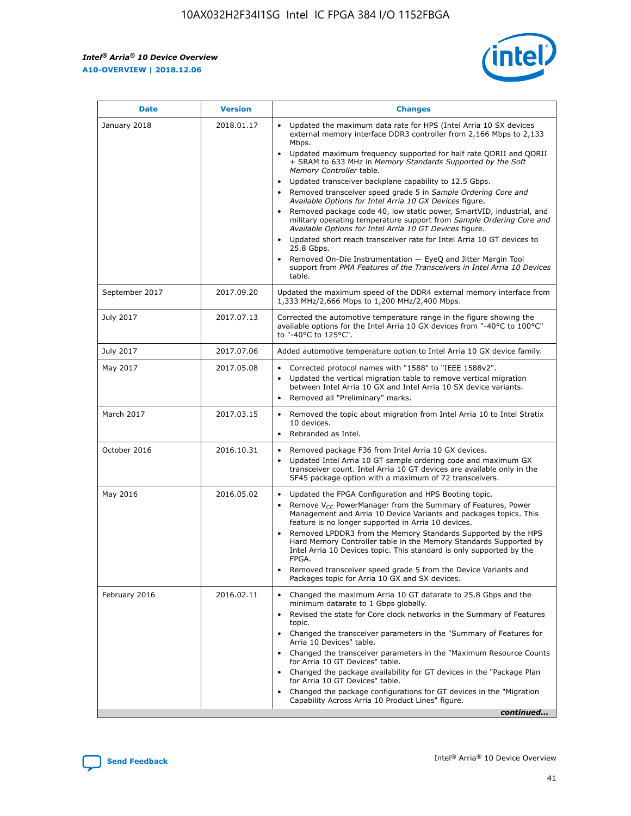*Intel® Arria® 10 Device Overview* **A10-OVERVIEW | 2018.12.06**



| <b>Date</b>    | <b>Version</b> | <b>Changes</b>                                                                                                                                                                                                                                                                                                                                                                                                                                                                                                                                                                                                                                                                                                                                                                                                                                                                                                                                                            |
|----------------|----------------|---------------------------------------------------------------------------------------------------------------------------------------------------------------------------------------------------------------------------------------------------------------------------------------------------------------------------------------------------------------------------------------------------------------------------------------------------------------------------------------------------------------------------------------------------------------------------------------------------------------------------------------------------------------------------------------------------------------------------------------------------------------------------------------------------------------------------------------------------------------------------------------------------------------------------------------------------------------------------|
| January 2018   | 2018.01.17     | Updated the maximum data rate for HPS (Intel Arria 10 SX devices<br>external memory interface DDR3 controller from 2,166 Mbps to 2,133<br>Mbps.<br>Updated maximum frequency supported for half rate QDRII and QDRII<br>+ SRAM to 633 MHz in Memory Standards Supported by the Soft<br>Memory Controller table.<br>Updated transceiver backplane capability to 12.5 Gbps.<br>$\bullet$<br>Removed transceiver speed grade 5 in Sample Ordering Core and<br>Available Options for Intel Arria 10 GX Devices figure.<br>Removed package code 40, low static power, SmartVID, industrial, and<br>military operating temperature support from Sample Ordering Core and<br>Available Options for Intel Arria 10 GT Devices figure.<br>Updated short reach transceiver rate for Intel Arria 10 GT devices to<br>25.8 Gbps.<br>Removed On-Die Instrumentation - EyeQ and Jitter Margin Tool<br>support from PMA Features of the Transceivers in Intel Arria 10 Devices<br>table. |
| September 2017 | 2017.09.20     | Updated the maximum speed of the DDR4 external memory interface from<br>1,333 MHz/2,666 Mbps to 1,200 MHz/2,400 Mbps.                                                                                                                                                                                                                                                                                                                                                                                                                                                                                                                                                                                                                                                                                                                                                                                                                                                     |
| July 2017      | 2017.07.13     | Corrected the automotive temperature range in the figure showing the<br>available options for the Intel Arria 10 GX devices from "-40°C to 100°C"<br>to "-40°C to 125°C".                                                                                                                                                                                                                                                                                                                                                                                                                                                                                                                                                                                                                                                                                                                                                                                                 |
| July 2017      | 2017.07.06     | Added automotive temperature option to Intel Arria 10 GX device family.                                                                                                                                                                                                                                                                                                                                                                                                                                                                                                                                                                                                                                                                                                                                                                                                                                                                                                   |
| May 2017       | 2017.05.08     | Corrected protocol names with "1588" to "IEEE 1588v2".<br>$\bullet$<br>Updated the vertical migration table to remove vertical migration<br>$\bullet$<br>between Intel Arria 10 GX and Intel Arria 10 SX device variants.<br>Removed all "Preliminary" marks.<br>$\bullet$                                                                                                                                                                                                                                                                                                                                                                                                                                                                                                                                                                                                                                                                                                |
| March 2017     | 2017.03.15     | Removed the topic about migration from Intel Arria 10 to Intel Stratix<br>10 devices.<br>Rebranded as Intel.<br>$\bullet$                                                                                                                                                                                                                                                                                                                                                                                                                                                                                                                                                                                                                                                                                                                                                                                                                                                 |
| October 2016   | 2016.10.31     | Removed package F36 from Intel Arria 10 GX devices.<br>Updated Intel Arria 10 GT sample ordering code and maximum GX<br>$\bullet$<br>transceiver count. Intel Arria 10 GT devices are available only in the<br>SF45 package option with a maximum of 72 transceivers.                                                                                                                                                                                                                                                                                                                                                                                                                                                                                                                                                                                                                                                                                                     |
| May 2016       | 2016.05.02     | Updated the FPGA Configuration and HPS Booting topic.<br>$\bullet$<br>Remove V <sub>CC</sub> PowerManager from the Summary of Features, Power<br>Management and Arria 10 Device Variants and packages topics. This<br>feature is no longer supported in Arria 10 devices.<br>Removed LPDDR3 from the Memory Standards Supported by the HPS<br>Hard Memory Controller table in the Memory Standards Supported by<br>Intel Arria 10 Devices topic. This standard is only supported by the<br>FPGA.<br>Removed transceiver speed grade 5 from the Device Variants and<br>Packages topic for Arria 10 GX and SX devices.                                                                                                                                                                                                                                                                                                                                                      |
| February 2016  | 2016.02.11     | Changed the maximum Arria 10 GT datarate to 25.8 Gbps and the<br>minimum datarate to 1 Gbps globally.<br>Revised the state for Core clock networks in the Summary of Features<br>$\bullet$<br>topic.<br>Changed the transceiver parameters in the "Summary of Features for<br>$\bullet$<br>Arria 10 Devices" table.<br>• Changed the transceiver parameters in the "Maximum Resource Counts<br>for Arria 10 GT Devices" table.<br>Changed the package availability for GT devices in the "Package Plan<br>for Arria 10 GT Devices" table.<br>Changed the package configurations for GT devices in the "Migration"<br>Capability Across Arria 10 Product Lines" figure.<br>continued                                                                                                                                                                                                                                                                                       |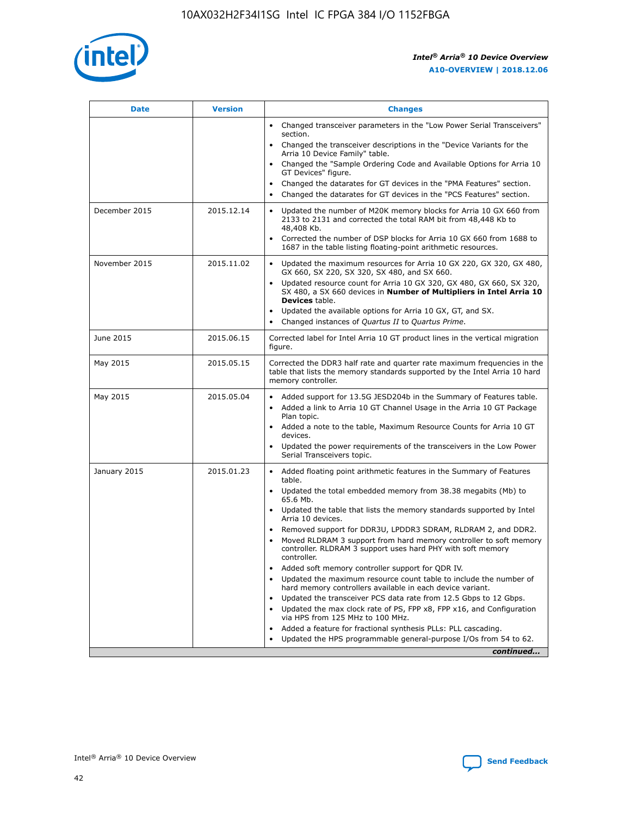

| <b>Date</b>   | <b>Version</b> | <b>Changes</b>                                                                                                                                                               |
|---------------|----------------|------------------------------------------------------------------------------------------------------------------------------------------------------------------------------|
|               |                | • Changed transceiver parameters in the "Low Power Serial Transceivers"<br>section.                                                                                          |
|               |                | Changed the transceiver descriptions in the "Device Variants for the<br>Arria 10 Device Family" table.                                                                       |
|               |                | Changed the "Sample Ordering Code and Available Options for Arria 10<br>GT Devices" figure.                                                                                  |
|               |                | Changed the datarates for GT devices in the "PMA Features" section.                                                                                                          |
|               |                | Changed the datarates for GT devices in the "PCS Features" section.                                                                                                          |
| December 2015 | 2015.12.14     | Updated the number of M20K memory blocks for Arria 10 GX 660 from<br>2133 to 2131 and corrected the total RAM bit from 48,448 Kb to<br>48,408 Kb.                            |
|               |                | Corrected the number of DSP blocks for Arria 10 GX 660 from 1688 to<br>$\bullet$<br>1687 in the table listing floating-point arithmetic resources.                           |
| November 2015 | 2015.11.02     | Updated the maximum resources for Arria 10 GX 220, GX 320, GX 480,<br>GX 660, SX 220, SX 320, SX 480, and SX 660.                                                            |
|               |                | • Updated resource count for Arria 10 GX 320, GX 480, GX 660, SX 320,<br>SX 480, a SX 660 devices in Number of Multipliers in Intel Arria 10<br><b>Devices</b> table.        |
|               |                | Updated the available options for Arria 10 GX, GT, and SX.                                                                                                                   |
|               |                | Changed instances of Quartus II to Quartus Prime.<br>$\bullet$                                                                                                               |
| June 2015     | 2015.06.15     | Corrected label for Intel Arria 10 GT product lines in the vertical migration<br>figure.                                                                                     |
| May 2015      | 2015.05.15     | Corrected the DDR3 half rate and quarter rate maximum frequencies in the<br>table that lists the memory standards supported by the Intel Arria 10 hard<br>memory controller. |
| May 2015      | 2015.05.04     | • Added support for 13.5G JESD204b in the Summary of Features table.<br>Added a link to Arria 10 GT Channel Usage in the Arria 10 GT Package<br>$\bullet$<br>Plan topic.     |
|               |                | • Added a note to the table, Maximum Resource Counts for Arria 10 GT<br>devices.                                                                                             |
|               |                | • Updated the power requirements of the transceivers in the Low Power<br>Serial Transceivers topic.                                                                          |
| January 2015  | 2015.01.23     | • Added floating point arithmetic features in the Summary of Features<br>table.                                                                                              |
|               |                | • Updated the total embedded memory from 38.38 megabits (Mb) to<br>65.6 Mb.                                                                                                  |
|               |                | • Updated the table that lists the memory standards supported by Intel<br>Arria 10 devices.                                                                                  |
|               |                | Removed support for DDR3U, LPDDR3 SDRAM, RLDRAM 2, and DDR2.                                                                                                                 |
|               |                | Moved RLDRAM 3 support from hard memory controller to soft memory<br>controller. RLDRAM 3 support uses hard PHY with soft memory<br>controller.                              |
|               |                | Added soft memory controller support for QDR IV.<br>$\bullet$                                                                                                                |
|               |                | Updated the maximum resource count table to include the number of<br>$\bullet$<br>hard memory controllers available in each device variant.                                  |
|               |                | Updated the transceiver PCS data rate from 12.5 Gbps to 12 Gbps.<br>$\bullet$                                                                                                |
|               |                | Updated the max clock rate of PS, FPP x8, FPP x16, and Configuration<br>via HPS from 125 MHz to 100 MHz.                                                                     |
|               |                | Added a feature for fractional synthesis PLLs: PLL cascading.<br>$\bullet$                                                                                                   |
|               |                | Updated the HPS programmable general-purpose I/Os from 54 to 62.                                                                                                             |
|               |                | continued                                                                                                                                                                    |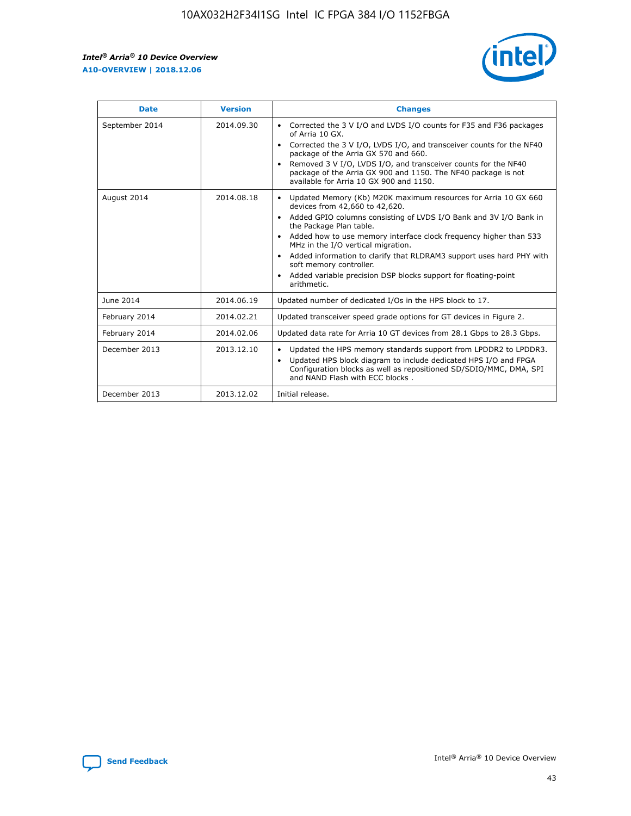r



| <b>Date</b>    | <b>Version</b> | <b>Changes</b>                                                                                                                                                                                                                                                                                                                                                                                                                                                                                                                         |
|----------------|----------------|----------------------------------------------------------------------------------------------------------------------------------------------------------------------------------------------------------------------------------------------------------------------------------------------------------------------------------------------------------------------------------------------------------------------------------------------------------------------------------------------------------------------------------------|
| September 2014 | 2014.09.30     | Corrected the 3 V I/O and LVDS I/O counts for F35 and F36 packages<br>of Arria 10 GX.<br>Corrected the 3 V I/O, LVDS I/O, and transceiver counts for the NF40<br>$\bullet$<br>package of the Arria GX 570 and 660.<br>Removed 3 V I/O, LVDS I/O, and transceiver counts for the NF40<br>package of the Arria GX 900 and 1150. The NF40 package is not<br>available for Arria 10 GX 900 and 1150.                                                                                                                                       |
| August 2014    | 2014.08.18     | Updated Memory (Kb) M20K maximum resources for Arria 10 GX 660<br>devices from 42,660 to 42,620.<br>Added GPIO columns consisting of LVDS I/O Bank and 3V I/O Bank in<br>$\bullet$<br>the Package Plan table.<br>Added how to use memory interface clock frequency higher than 533<br>$\bullet$<br>MHz in the I/O vertical migration.<br>Added information to clarify that RLDRAM3 support uses hard PHY with<br>$\bullet$<br>soft memory controller.<br>Added variable precision DSP blocks support for floating-point<br>arithmetic. |
| June 2014      | 2014.06.19     | Updated number of dedicated I/Os in the HPS block to 17.                                                                                                                                                                                                                                                                                                                                                                                                                                                                               |
| February 2014  | 2014.02.21     | Updated transceiver speed grade options for GT devices in Figure 2.                                                                                                                                                                                                                                                                                                                                                                                                                                                                    |
| February 2014  | 2014.02.06     | Updated data rate for Arria 10 GT devices from 28.1 Gbps to 28.3 Gbps.                                                                                                                                                                                                                                                                                                                                                                                                                                                                 |
| December 2013  | 2013.12.10     | Updated the HPS memory standards support from LPDDR2 to LPDDR3.<br>Updated HPS block diagram to include dedicated HPS I/O and FPGA<br>$\bullet$<br>Configuration blocks as well as repositioned SD/SDIO/MMC, DMA, SPI<br>and NAND Flash with ECC blocks.                                                                                                                                                                                                                                                                               |
| December 2013  | 2013.12.02     | Initial release.                                                                                                                                                                                                                                                                                                                                                                                                                                                                                                                       |